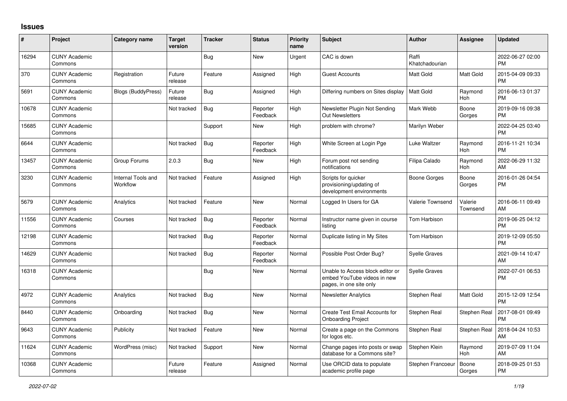## **Issues**

| #     | Project                         | <b>Category name</b>           | <b>Target</b><br>version | <b>Tracker</b> | <b>Status</b>        | <b>Priority</b><br>name | <b>Subject</b>                                                                             | <b>Author</b>           | <b>Assignee</b>       | <b>Updated</b>                |
|-------|---------------------------------|--------------------------------|--------------------------|----------------|----------------------|-------------------------|--------------------------------------------------------------------------------------------|-------------------------|-----------------------|-------------------------------|
| 16294 | <b>CUNY Academic</b><br>Commons |                                |                          | Bug            | New                  | Urgent                  | CAC is down                                                                                | Raffi<br>Khatchadourian |                       | 2022-06-27 02:00<br><b>PM</b> |
| 370   | <b>CUNY Academic</b><br>Commons | Registration                   | Future<br>release        | Feature        | Assigned             | High                    | <b>Guest Accounts</b>                                                                      | Matt Gold               | Matt Gold             | 2015-04-09 09:33<br><b>PM</b> |
| 5691  | <b>CUNY Academic</b><br>Commons | <b>Blogs (BuddyPress)</b>      | Future<br>release        | <b>Bug</b>     | Assigned             | High                    | Differing numbers on Sites display                                                         | <b>Matt Gold</b>        | Raymond<br><b>Hoh</b> | 2016-06-13 01:37<br><b>PM</b> |
| 10678 | <b>CUNY Academic</b><br>Commons |                                | Not tracked              | Bug            | Reporter<br>Feedback | High                    | Newsletter Plugin Not Sending<br><b>Out Newsletters</b>                                    | Mark Webb               | Boone<br>Gorges       | 2019-09-16 09:38<br><b>PM</b> |
| 15685 | <b>CUNY Academic</b><br>Commons |                                |                          | Support        | New                  | High                    | problem with chrome?                                                                       | Marilyn Weber           |                       | 2022-04-25 03:40<br><b>PM</b> |
| 6644  | <b>CUNY Academic</b><br>Commons |                                | Not tracked              | Bug            | Reporter<br>Feedback | High                    | White Screen at Login Pge                                                                  | Luke Waltzer            | Raymond<br>Hoh        | 2016-11-21 10:34<br><b>PM</b> |
| 13457 | <b>CUNY Academic</b><br>Commons | Group Forums                   | 2.0.3                    | Bug            | New                  | High                    | Forum post not sending<br>notifications                                                    | Filipa Calado           | Raymond<br>Hoh        | 2022-06-29 11:32<br>AM        |
| 3230  | <b>CUNY Academic</b><br>Commons | Internal Tools and<br>Workflow | Not tracked              | Feature        | Assigned             | High                    | Scripts for quicker<br>provisioning/updating of<br>development environments                | Boone Gorges            | Boone<br>Gorges       | 2016-01-26 04:54<br><b>PM</b> |
| 5679  | <b>CUNY Academic</b><br>Commons | Analytics                      | Not tracked              | Feature        | New                  | Normal                  | Logged In Users for GA                                                                     | Valerie Townsend        | Valerie<br>Townsend   | 2016-06-11 09:49<br>AM        |
| 11556 | <b>CUNY Academic</b><br>Commons | Courses                        | Not tracked              | Bug            | Reporter<br>Feedback | Normal                  | Instructor name given in course<br>listing                                                 | Tom Harbison            |                       | 2019-06-25 04:12<br><b>PM</b> |
| 12198 | <b>CUNY Academic</b><br>Commons |                                | Not tracked              | Bug            | Reporter<br>Feedback | Normal                  | Duplicate listing in My Sites                                                              | Tom Harbison            |                       | 2019-12-09 05:50<br><b>PM</b> |
| 14629 | <b>CUNY Academic</b><br>Commons |                                | Not tracked              | Bug            | Reporter<br>Feedback | Normal                  | Possible Post Order Bug?                                                                   | Syelle Graves           |                       | 2021-09-14 10:47<br>AM        |
| 16318 | <b>CUNY Academic</b><br>Commons |                                |                          | Bug            | New                  | Normal                  | Unable to Access block editor or<br>embed YouTube videos in new<br>pages, in one site only | <b>Syelle Graves</b>    |                       | 2022-07-01 06:53<br><b>PM</b> |
| 4972  | <b>CUNY Academic</b><br>Commons | Analytics                      | Not tracked              | Bug            | New                  | Normal                  | <b>Newsletter Analytics</b>                                                                | Stephen Real            | Matt Gold             | 2015-12-09 12:54<br><b>PM</b> |
| 8440  | <b>CUNY Academic</b><br>Commons | Onboarding                     | Not tracked              | <b>Bug</b>     | <b>New</b>           | Normal                  | Create Test Email Accounts for<br><b>Onboarding Project</b>                                | Stephen Real            | Stephen Real          | 2017-08-01 09:49<br><b>PM</b> |
| 9643  | <b>CUNY Academic</b><br>Commons | Publicity                      | Not tracked              | Feature        | <b>New</b>           | Normal                  | Create a page on the Commons<br>for logos etc.                                             | Stephen Real            | Stephen Real          | 2018-04-24 10:53<br>AM        |
| 11624 | <b>CUNY Academic</b><br>Commons | WordPress (misc)               | Not tracked              | Support        | <b>New</b>           | Normal                  | Change pages into posts or swap<br>database for a Commons site?                            | Stephen Klein           | Raymond<br>Hoh        | 2019-07-09 11:04<br>AM        |
| 10368 | <b>CUNY Academic</b><br>Commons |                                | Future<br>release        | Feature        | Assigned             | Normal                  | Use ORCID data to populate<br>academic profile page                                        | Stephen Francoeu        | Boone<br>Gorges       | 2018-09-25 01:53<br><b>PM</b> |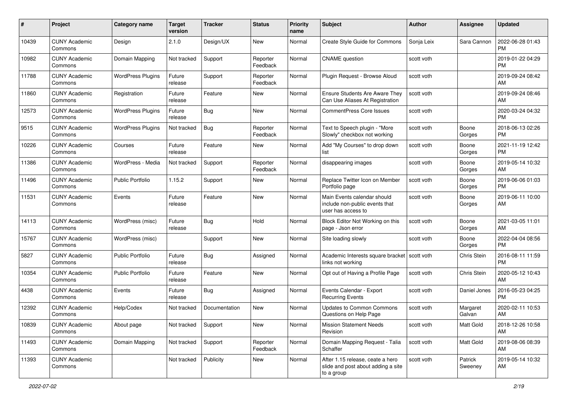| #     | Project                         | <b>Category name</b>     | Target<br>version | <b>Tracker</b> | <b>Status</b>        | Priority<br>name | <b>Subject</b>                                                                       | <b>Author</b> | <b>Assignee</b>    | <b>Updated</b>                |
|-------|---------------------------------|--------------------------|-------------------|----------------|----------------------|------------------|--------------------------------------------------------------------------------------|---------------|--------------------|-------------------------------|
| 10439 | <b>CUNY Academic</b><br>Commons | Design                   | 2.1.0             | Design/UX      | New                  | Normal           | Create Style Guide for Commons                                                       | Sonja Leix    | Sara Cannon        | 2022-06-28 01:43<br><b>PM</b> |
| 10982 | <b>CUNY Academic</b><br>Commons | Domain Mapping           | Not tracked       | Support        | Reporter<br>Feedback | Normal           | <b>CNAME</b> question                                                                | scott voth    |                    | 2019-01-22 04:29<br><b>PM</b> |
| 11788 | <b>CUNY Academic</b><br>Commons | <b>WordPress Plugins</b> | Future<br>release | Support        | Reporter<br>Feedback | Normal           | Plugin Request - Browse Aloud                                                        | scott voth    |                    | 2019-09-24 08:42<br>AM        |
| 11860 | <b>CUNY Academic</b><br>Commons | Registration             | Future<br>release | Feature        | New                  | Normal           | <b>Ensure Students Are Aware They</b><br>Can Use Aliases At Registration             | scott voth    |                    | 2019-09-24 08:46<br>AM        |
| 12573 | <b>CUNY Academic</b><br>Commons | <b>WordPress Plugins</b> | Future<br>release | Bug            | New                  | Normal           | <b>CommentPress Core Issues</b>                                                      | scott voth    |                    | 2020-03-24 04:32<br><b>PM</b> |
| 9515  | <b>CUNY Academic</b><br>Commons | <b>WordPress Plugins</b> | Not tracked       | Bug            | Reporter<br>Feedback | Normal           | Text to Speech plugin - "More<br>Slowly" checkbox not working                        | scott voth    | Boone<br>Gorges    | 2018-06-13 02:26<br><b>PM</b> |
| 10226 | <b>CUNY Academic</b><br>Commons | Courses                  | Future<br>release | Feature        | New                  | Normal           | Add "My Courses" to drop down<br>list                                                | scott voth    | Boone<br>Gorges    | 2021-11-19 12:42<br><b>PM</b> |
| 11386 | <b>CUNY Academic</b><br>Commons | WordPress - Media        | Not tracked       | Support        | Reporter<br>Feedback | Normal           | disappearing images                                                                  | scott voth    | Boone<br>Gorges    | 2019-05-14 10:32<br>AM        |
| 11496 | <b>CUNY Academic</b><br>Commons | <b>Public Portfolio</b>  | 1.15.2            | Support        | New                  | Normal           | Replace Twitter Icon on Member<br>Portfolio page                                     | scott voth    | Boone<br>Gorges    | 2019-06-06 01:03<br><b>PM</b> |
| 11531 | <b>CUNY Academic</b><br>Commons | Events                   | Future<br>release | Feature        | New                  | Normal           | Main Events calendar should<br>include non-public events that<br>user has access to  | scott voth    | Boone<br>Gorges    | 2019-06-11 10:00<br>AM        |
| 14113 | <b>CUNY Academic</b><br>Commons | WordPress (misc)         | Future<br>release | Bug            | Hold                 | Normal           | Block Editor Not Working on this<br>page - Json error                                | scott voth    | Boone<br>Gorges    | 2021-03-05 11:01<br>AM        |
| 15767 | <b>CUNY Academic</b><br>Commons | WordPress (misc)         |                   | Support        | New                  | Normal           | Site loading slowly                                                                  | scott voth    | Boone<br>Gorges    | 2022-04-04 08:56<br><b>PM</b> |
| 5827  | <b>CUNY Academic</b><br>Commons | <b>Public Portfolio</b>  | Future<br>release | Bug            | Assigned             | Normal           | Academic Interests square bracket<br>links not working                               | scott voth    | Chris Stein        | 2016-08-11 11:59<br><b>PM</b> |
| 10354 | <b>CUNY Academic</b><br>Commons | <b>Public Portfolio</b>  | Future<br>release | Feature        | New                  | Normal           | Opt out of Having a Profile Page                                                     | scott voth    | Chris Stein        | 2020-05-12 10:43<br>AM        |
| 4438  | <b>CUNY Academic</b><br>Commons | Events                   | Future<br>release | <b>Bug</b>     | Assigned             | Normal           | Events Calendar - Export<br><b>Recurring Events</b>                                  | scott voth    | Daniel Jones       | 2016-05-23 04:25<br><b>PM</b> |
| 12392 | <b>CUNY Academic</b><br>Commons | Help/Codex               | Not tracked       | Documentation  | New                  | Normal           | <b>Updates to Common Commons</b><br>Questions on Help Page                           | scott voth    | Margaret<br>Galvan | 2020-02-11 10:53<br>AM        |
| 10839 | <b>CUNY Academic</b><br>Commons | About page               | Not tracked       | Support        | New                  | Normal           | <b>Mission Statement Needs</b><br>Revision                                           | scott voth    | Matt Gold          | 2018-12-26 10:58<br>AM        |
| 11493 | <b>CUNY Academic</b><br>Commons | Domain Mapping           | Not tracked       | Support        | Reporter<br>Feedback | Normal           | Domain Mapping Request - Talia<br>Schaffer                                           | scott voth    | Matt Gold          | 2019-08-06 08:39<br>AM        |
| 11393 | <b>CUNY Academic</b><br>Commons |                          | Not tracked       | Publicity      | New                  | Normal           | After 1.15 release, ceate a hero<br>slide and post about adding a site<br>to a group | scott voth    | Patrick<br>Sweeney | 2019-05-14 10:32<br>AM        |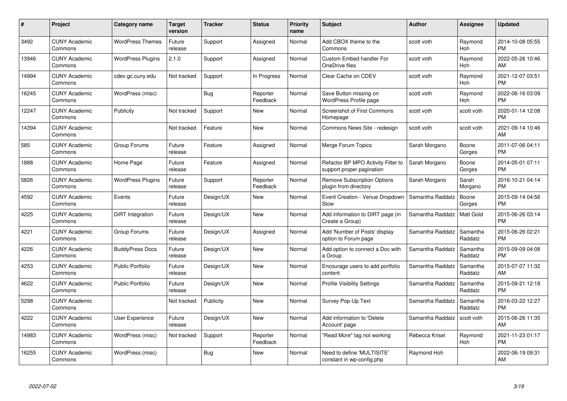| $\#$  | Project                         | <b>Category name</b>     | <b>Target</b><br>version | <b>Tracker</b> | <b>Status</b>        | Priority<br>name | <b>Subject</b>                                                  | <b>Author</b>    | <b>Assignee</b>     | <b>Updated</b>                |
|-------|---------------------------------|--------------------------|--------------------------|----------------|----------------------|------------------|-----------------------------------------------------------------|------------------|---------------------|-------------------------------|
| 3492  | <b>CUNY Academic</b><br>Commons | <b>WordPress Themes</b>  | Future<br>release        | Support        | Assigned             | Normal           | Add CBOX theme to the<br>Commons                                | scott voth       | Raymond<br>Hoh      | 2014-10-08 05:55<br><b>PM</b> |
| 13946 | <b>CUNY Academic</b><br>Commons | <b>WordPress Plugins</b> | 2.1.0                    | Support        | Assigned             | Normal           | <b>Custom Embed handler For</b><br>OneDrive files               | scott voth       | Raymond<br>Hoh      | 2022-05-26 10:46<br>AM        |
| 14994 | <b>CUNY Academic</b><br>Commons | cdev.gc.cuny.edu         | Not tracked              | Support        | In Progress          | Normal           | Clear Cache on CDEV                                             | scott voth       | Raymond<br>Hoh      | 2021-12-07 03:51<br><b>PM</b> |
| 16245 | <b>CUNY Academic</b><br>Commons | WordPress (misc)         |                          | Bug            | Reporter<br>Feedback | Normal           | Save Button missing on<br><b>WordPress Profile page</b>         | scott voth       | Raymond<br>Hoh      | 2022-06-16 03:09<br><b>PM</b> |
| 12247 | <b>CUNY Academic</b><br>Commons | Publicity                | Not tracked              | Support        | <b>New</b>           | Normal           | <b>Screenshot of First Commons</b><br>Homepage                  | scott voth       | scott voth          | 2020-01-14 12:08<br><b>PM</b> |
| 14394 | <b>CUNY Academic</b><br>Commons |                          | Not tracked              | Feature        | <b>New</b>           | Normal           | Commons News Site - redesign                                    | scott voth       | scott voth          | 2021-09-14 10:46<br>AM        |
| 585   | <b>CUNY Academic</b><br>Commons | Group Forums             | Future<br>release        | Feature        | Assigned             | Normal           | Merge Forum Topics                                              | Sarah Morgano    | Boone<br>Gorges     | 2011-07-06 04:11<br><b>PM</b> |
| 1888  | <b>CUNY Academic</b><br>Commons | Home Page                | Future<br>release        | Feature        | Assigned             | Normal           | Refactor BP MPO Activity Filter to<br>support proper pagination | Sarah Morgano    | Boone<br>Gorges     | 2014-05-01 07:11<br><b>PM</b> |
| 5826  | <b>CUNY Academic</b><br>Commons | <b>WordPress Plugins</b> | Future<br>release        | Support        | Reporter<br>Feedback | Normal           | <b>Remove Subscription Options</b><br>plugin from directory     | Sarah Morgano    | Sarah<br>Morgano    | 2016-10-21 04:14<br><b>PM</b> |
| 4592  | <b>CUNY Academic</b><br>Commons | Events                   | Future<br>release        | Design/UX      | <b>New</b>           | Normal           | Event Creation - Venue Dropdown<br>Slow                         | Samantha Raddatz | Boone<br>Gorges     | 2015-09-14 04:56<br><b>PM</b> |
| 4225  | <b>CUNY Academic</b><br>Commons | DiRT Integration         | Future<br>release        | Design/UX      | New                  | Normal           | Add information to DIRT page (in<br>Create a Group)             | Samantha Raddatz | Matt Gold           | 2015-06-26 03:14<br><b>PM</b> |
| 4221  | <b>CUNY Academic</b><br>Commons | Group Forums             | Future<br>release        | Design/UX      | Assigned             | Normal           | Add 'Number of Posts' display<br>option to Forum page           | Samantha Raddatz | Samantha<br>Raddatz | 2015-06-26 02:21<br><b>PM</b> |
| 4226  | <b>CUNY Academic</b><br>Commons | <b>BuddyPress Docs</b>   | Future<br>release        | Design/UX      | New                  | Normal           | Add option to connect a Doc with<br>a Group                     | Samantha Raddatz | Samantha<br>Raddatz | 2015-09-09 04:08<br>PM        |
| 4253  | <b>CUNY Academic</b><br>Commons | <b>Public Portfolio</b>  | Future<br>release        | Design/UX      | New                  | Normal           | Encourage users to add portfolio<br>content                     | Samantha Raddatz | Samantha<br>Raddatz | 2015-07-07 11:32<br>AM        |
| 4622  | <b>CUNY Academic</b><br>Commons | <b>Public Portfolio</b>  | Future<br>release        | Design/UX      | New                  | Normal           | <b>Profile Visibility Settings</b>                              | Samantha Raddatz | Samantha<br>Raddatz | 2015-09-21 12:18<br><b>PM</b> |
| 5298  | <b>CUNY Academic</b><br>Commons |                          | Not tracked              | Publicity      | <b>New</b>           | Normal           | Survey Pop-Up Text                                              | Samantha Raddatz | Samantha<br>Raddatz | 2016-03-22 12:27<br><b>PM</b> |
| 4222  | <b>CUNY Academic</b><br>Commons | User Experience          | Future<br>release        | Design/UX      | New                  | Normal           | Add information to 'Delete<br>Account' page                     | Samantha Raddatz | scott voth          | 2015-06-26 11:35<br>AM        |
| 14983 | <b>CUNY Academic</b><br>Commons | WordPress (misc)         | Not tracked              | Support        | Reporter<br>Feedback | Normal           | "Read More" tag not working                                     | Rebecca Krisel   | Raymond<br>Hoh      | 2021-11-23 01:17<br><b>PM</b> |
| 16255 | <b>CUNY Academic</b><br>Commons | WordPress (misc)         |                          | <b>Bug</b>     | <b>New</b>           | Normal           | Need to define 'MULTISITE'<br>constant in wp-config.php         | Raymond Hoh      |                     | 2022-06-19 09:31<br>AM        |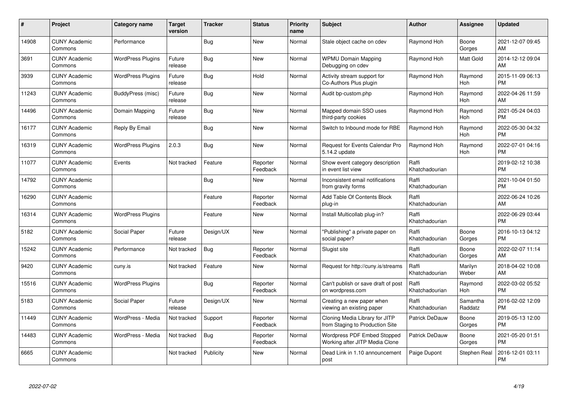| #     | Project                         | <b>Category name</b>     | <b>Target</b><br>version | <b>Tracker</b> | <b>Status</b>        | <b>Priority</b><br>name | <b>Subject</b>                                                    | <b>Author</b>           | <b>Assignee</b>     | <b>Updated</b>                |
|-------|---------------------------------|--------------------------|--------------------------|----------------|----------------------|-------------------------|-------------------------------------------------------------------|-------------------------|---------------------|-------------------------------|
| 14908 | <b>CUNY Academic</b><br>Commons | Performance              |                          | Bug            | <b>New</b>           | Normal                  | Stale object cache on cdev                                        | Raymond Hoh             | Boone<br>Gorges     | 2021-12-07 09:45<br><b>AM</b> |
| 3691  | <b>CUNY Academic</b><br>Commons | <b>WordPress Plugins</b> | Future<br>release        | Bug            | <b>New</b>           | Normal                  | <b>WPMU Domain Mapping</b><br>Debugging on cdev                   | Raymond Hoh             | Matt Gold           | 2014-12-12 09:04<br>AM        |
| 3939  | <b>CUNY Academic</b><br>Commons | <b>WordPress Plugins</b> | Future<br>release        | <b>Bug</b>     | Hold                 | Normal                  | Activity stream support for<br>Co-Authors Plus plugin             | Raymond Hoh             | Raymond<br>Hoh      | 2015-11-09 06:13<br><b>PM</b> |
| 11243 | <b>CUNY Academic</b><br>Commons | BuddyPress (misc)        | Future<br>release        | <b>Bug</b>     | <b>New</b>           | Normal                  | Audit bp-custom.php                                               | Raymond Hoh             | Raymond<br>Hoh      | 2022-04-26 11:59<br>AM        |
| 14496 | <b>CUNY Academic</b><br>Commons | Domain Mapping           | Future<br>release        | <b>Bug</b>     | <b>New</b>           | Normal                  | Mapped domain SSO uses<br>third-party cookies                     | Raymond Hoh             | Raymond<br>Hoh      | 2021-05-24 04:03<br><b>PM</b> |
| 16177 | <b>CUNY Academic</b><br>Commons | Reply By Email           |                          | <b>Bug</b>     | <b>New</b>           | Normal                  | Switch to Inbound mode for RBE                                    | Raymond Hoh             | Raymond<br>Hoh      | 2022-05-30 04:32<br><b>PM</b> |
| 16319 | <b>CUNY Academic</b><br>Commons | <b>WordPress Plugins</b> | 2.0.3                    | Bug            | <b>New</b>           | Normal                  | <b>Request for Events Calendar Pro</b><br>5.14.2 update           | Raymond Hoh             | Raymond<br>Hoh      | 2022-07-01 04:16<br><b>PM</b> |
| 11077 | <b>CUNY Academic</b><br>Commons | Events                   | Not tracked              | Feature        | Reporter<br>Feedback | Normal                  | Show event category description<br>in event list view             | Raffi<br>Khatchadourian |                     | 2019-02-12 10:38<br><b>PM</b> |
| 14792 | <b>CUNY Academic</b><br>Commons |                          |                          | <b>Bug</b>     | New                  | Normal                  | Inconsistent email notifications<br>from gravity forms            | Raffi<br>Khatchadourian |                     | 2021-10-04 01:50<br><b>PM</b> |
| 16290 | <b>CUNY Academic</b><br>Commons |                          |                          | Feature        | Reporter<br>Feedback | Normal                  | Add Table Of Contents Block<br>plug-in                            | Raffi<br>Khatchadourian |                     | 2022-06-24 10:26<br>AM        |
| 16314 | <b>CUNY Academic</b><br>Commons | <b>WordPress Plugins</b> |                          | Feature        | New                  | Normal                  | Install Multicollab plug-in?                                      | Raffi<br>Khatchadourian |                     | 2022-06-29 03:44<br><b>PM</b> |
| 5182  | <b>CUNY Academic</b><br>Commons | Social Paper             | Future<br>release        | Design/UX      | New                  | Normal                  | "Publishing" a private paper on<br>social paper?                  | Raffi<br>Khatchadourian | Boone<br>Gorges     | 2016-10-13 04:12<br><b>PM</b> |
| 15242 | <b>CUNY Academic</b><br>Commons | Performance              | Not tracked              | Bug            | Reporter<br>Feedback | Normal                  | Slugist site                                                      | Raffi<br>Khatchadourian | Boone<br>Gorges     | 2022-02-07 11:14<br>AM.       |
| 9420  | <b>CUNY Academic</b><br>Commons | cuny.is                  | Not tracked              | Feature        | New                  | Normal                  | Request for http://cuny.is/streams                                | Raffi<br>Khatchadourian | Marilyn<br>Weber    | 2018-04-02 10:08<br><b>AM</b> |
| 15516 | <b>CUNY Academic</b><br>Commons | <b>WordPress Plugins</b> |                          | <b>Bug</b>     | Reporter<br>Feedback | Normal                  | Can't publish or save draft of post<br>on wordpress.com           | Raffi<br>Khatchadourian | Raymond<br>Hoh      | 2022-03-02 05:52<br><b>PM</b> |
| 5183  | <b>CUNY Academic</b><br>Commons | Social Paper             | Future<br>release        | Design/UX      | <b>New</b>           | Normal                  | Creating a new paper when<br>viewing an existing paper            | Raffi<br>Khatchadourian | Samantha<br>Raddatz | 2016-02-02 12:09<br><b>PM</b> |
| 11449 | <b>CUNY Academic</b><br>Commons | WordPress - Media        | Not tracked              | Support        | Reporter<br>Feedback | Normal                  | Cloning Media Library for JITP<br>from Staging to Production Site | Patrick DeDauw          | Boone<br>Gorges     | 2019-05-13 12:00<br><b>PM</b> |
| 14483 | <b>CUNY Academic</b><br>Commons | WordPress - Media        | Not tracked              | Bug            | Reporter<br>Feedback | Normal                  | Wordpress PDF Embed Stopped<br>Working after JITP Media Clone     | Patrick DeDauw          | Boone<br>Gorges     | 2021-05-20 01:51<br><b>PM</b> |
| 6665  | <b>CUNY Academic</b><br>Commons |                          | Not tracked              | Publicity      | <b>New</b>           | Normal                  | Dead Link in 1.10 announcement<br>post                            | Paige Dupont            | Stephen Real        | 2016-12-01 03:11<br>PM        |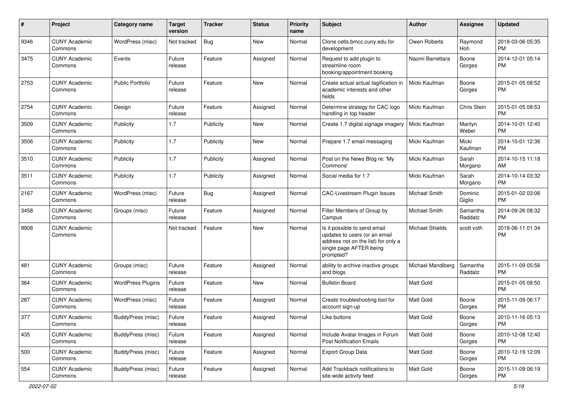| #    | Project                         | <b>Category name</b>     | <b>Target</b><br>version | Tracker   | <b>Status</b> | <b>Priority</b><br>name | <b>Subject</b>                                                                                                                               | Author                 | <b>Assignee</b>     | <b>Updated</b>                |
|------|---------------------------------|--------------------------|--------------------------|-----------|---------------|-------------------------|----------------------------------------------------------------------------------------------------------------------------------------------|------------------------|---------------------|-------------------------------|
| 9346 | <b>CUNY Academic</b><br>Commons | WordPress (misc)         | Not tracked              | Bug       | New           | Normal                  | Clone cetls.bmcc.cuny.edu for<br>development                                                                                                 | Owen Roberts           | Raymond<br>Hoh      | 2018-03-06 05:35<br><b>PM</b> |
| 3475 | <b>CUNY Academic</b><br>Commons | Events                   | Future<br>release        | Feature   | Assigned      | Normal                  | Request to add plugin to<br>streamline room<br>booking/appointment booking                                                                   | Naomi Barrettara       | Boone<br>Gorges     | 2014-12-01 05:14<br><b>PM</b> |
| 2753 | <b>CUNY Academic</b><br>Commons | <b>Public Portfolio</b>  | Future<br>release        | Feature   | New           | Normal                  | Create actual actual tagification in<br>academic interests and other<br>fields                                                               | Micki Kaufman          | Boone<br>Gorges     | 2015-01-05 08:52<br><b>PM</b> |
| 2754 | <b>CUNY Academic</b><br>Commons | Design                   | Future<br>release        | Feature   | Assigned      | Normal                  | Determine strategy for CAC logo<br>handling in top header                                                                                    | Micki Kaufman          | Chris Stein         | 2015-01-05 08:53<br><b>PM</b> |
| 3509 | <b>CUNY Academic</b><br>Commons | Publicity                | 1.7                      | Publicity | New           | Normal                  | Create 1.7 digital signage imagery                                                                                                           | Micki Kaufman          | Marilyn<br>Weber    | 2014-10-01 12:40<br><b>PM</b> |
| 3506 | <b>CUNY Academic</b><br>Commons | Publicity                | 1.7                      | Publicity | New           | Normal                  | Prepare 1.7 email messaging                                                                                                                  | Micki Kaufman          | Micki<br>Kaufman    | 2014-10-01 12:36<br><b>PM</b> |
| 3510 | <b>CUNY Academic</b><br>Commons | Publicity                | 1.7                      | Publicity | Assigned      | Normal                  | Post on the News Blog re: 'My<br>Commons'                                                                                                    | Micki Kaufman          | Sarah<br>Morgano    | 2014-10-15 11:18<br>AM        |
| 3511 | <b>CUNY Academic</b><br>Commons | Publicity                | 1.7                      | Publicity | Assigned      | Normal                  | Social media for 1.7                                                                                                                         | Micki Kaufman          | Sarah<br>Morgano    | 2014-10-14 03:32<br><b>PM</b> |
| 2167 | <b>CUNY Academic</b><br>Commons | WordPress (misc)         | Future<br>release        | Bug       | Assigned      | Normal                  | CAC-Livestream Plugin Issues                                                                                                                 | Michael Smith          | Dominic<br>Giglio   | 2015-01-02 03:06<br><b>PM</b> |
| 3458 | <b>CUNY Academic</b><br>Commons | Groups (misc)            | Future<br>release        | Feature   | Assigned      | Normal                  | Filter Members of Group by<br>Campus                                                                                                         | Michael Smith          | Samantha<br>Raddatz | 2014-09-26 08:32<br><b>PM</b> |
| 9908 | <b>CUNY Academic</b><br>Commons |                          | Not tracked              | Feature   | New           | Normal                  | Is it possible to send email<br>updates to users (or an email<br>address not on the list) for only a<br>single page AFTER being<br>prompted? | <b>Michael Shields</b> | scott voth          | 2018-06-11 01:34<br><b>PM</b> |
| 481  | <b>CUNY Academic</b><br>Commons | Groups (misc)            | Future<br>release        | Feature   | Assigned      | Normal                  | ability to archive inactive groups<br>and blogs                                                                                              | Michael Mandiberg      | Samantha<br>Raddatz | 2015-11-09 05:56<br><b>PM</b> |
| 364  | <b>CUNY Academic</b><br>Commons | <b>WordPress Plugins</b> | Future<br>release        | Feature   | New           | Normal                  | <b>Bulletin Board</b>                                                                                                                        | <b>Matt Gold</b>       |                     | 2015-01-05 08:50<br><b>PM</b> |
| 287  | <b>CUNY Academic</b><br>Commons | WordPress (misc)         | Future<br>release        | Feature   | Assigned      | Normal                  | Create troubleshooting tool for<br>account sign-up                                                                                           | <b>Matt Gold</b>       | Boone<br>Gorges     | 2015-11-09 06:17<br><b>PM</b> |
| 377  | <b>CUNY Academic</b><br>Commons | BuddyPress (misc)        | Future<br>release        | Feature   | Assigned      | Normal                  | Like buttons                                                                                                                                 | <b>Matt Gold</b>       | Boone<br>Gorges     | 2010-11-16 05:13<br><b>PM</b> |
| 435  | <b>CUNY Academic</b><br>Commons | BuddyPress (misc)        | Future<br>release        | Feature   | Assigned      | Normal                  | Include Avatar Images in Forum<br><b>Post Notification Emails</b>                                                                            | Matt Gold              | Boone<br>Gorges     | 2010-12-08 12:40<br><b>PM</b> |
| 500  | <b>CUNY Academic</b><br>Commons | BuddyPress (misc)        | Future<br>release        | Feature   | Assigned      | Normal                  | Export Group Data                                                                                                                            | Matt Gold              | Boone<br>Gorges     | 2010-12-19 12:09<br><b>PM</b> |
| 554  | <b>CUNY Academic</b><br>Commons | BuddyPress (misc)        | Future<br>release        | Feature   | Assigned      | Normal                  | Add Trackback notifications to<br>site-wide activity feed                                                                                    | Matt Gold              | Boone<br>Gorges     | 2015-11-09 06:19<br><b>PM</b> |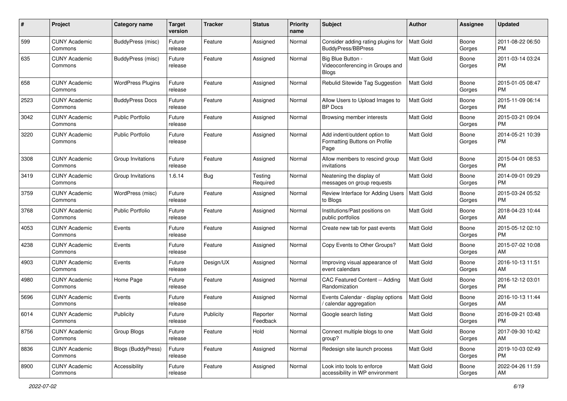| #    | Project                         | Category name             | <b>Target</b><br>version | <b>Tracker</b> | <b>Status</b>        | <b>Priority</b><br>name | Subject                                                               | Author           | <b>Assignee</b> | <b>Updated</b>                |
|------|---------------------------------|---------------------------|--------------------------|----------------|----------------------|-------------------------|-----------------------------------------------------------------------|------------------|-----------------|-------------------------------|
| 599  | <b>CUNY Academic</b><br>Commons | BuddyPress (misc)         | Future<br>release        | Feature        | Assigned             | Normal                  | Consider adding rating plugins for<br><b>BuddyPress/BBPress</b>       | <b>Matt Gold</b> | Boone<br>Gorges | 2011-08-22 06:50<br><b>PM</b> |
| 635  | <b>CUNY Academic</b><br>Commons | BuddyPress (misc)         | Future<br>release        | Feature        | Assigned             | Normal                  | Big Blue Button -<br>Videoconferencing in Groups and<br>Blogs         | Matt Gold        | Boone<br>Gorges | 2011-03-14 03:24<br><b>PM</b> |
| 658  | <b>CUNY Academic</b><br>Commons | <b>WordPress Plugins</b>  | Future<br>release        | Feature        | Assigned             | Normal                  | Rebulid Sitewide Tag Suggestion                                       | <b>Matt Gold</b> | Boone<br>Gorges | 2015-01-05 08:47<br><b>PM</b> |
| 2523 | <b>CUNY Academic</b><br>Commons | <b>BuddyPress Docs</b>    | Future<br>release        | Feature        | Assigned             | Normal                  | Allow Users to Upload Images to<br><b>BP</b> Docs                     | <b>Matt Gold</b> | Boone<br>Gorges | 2015-11-09 06:14<br><b>PM</b> |
| 3042 | <b>CUNY Academic</b><br>Commons | Public Portfolio          | Future<br>release        | Feature        | Assigned             | Normal                  | Browsing member interests                                             | <b>Matt Gold</b> | Boone<br>Gorges | 2015-03-21 09:04<br><b>PM</b> |
| 3220 | <b>CUNY Academic</b><br>Commons | <b>Public Portfolio</b>   | Future<br>release        | Feature        | Assigned             | Normal                  | Add indent/outdent option to<br>Formatting Buttons on Profile<br>Page | <b>Matt Gold</b> | Boone<br>Gorges | 2014-05-21 10:39<br><b>PM</b> |
| 3308 | <b>CUNY Academic</b><br>Commons | Group Invitations         | Future<br>release        | Feature        | Assigned             | Normal                  | Allow members to rescind group<br>invitations                         | <b>Matt Gold</b> | Boone<br>Gorges | 2015-04-01 08:53<br><b>PM</b> |
| 3419 | <b>CUNY Academic</b><br>Commons | Group Invitations         | 1.6.14                   | Bug            | Testing<br>Required  | Normal                  | Neatening the display of<br>messages on group requests                | Matt Gold        | Boone<br>Gorges | 2014-09-01 09:29<br><b>PM</b> |
| 3759 | <b>CUNY Academic</b><br>Commons | WordPress (misc)          | Future<br>release        | Feature        | Assigned             | Normal                  | Review Interface for Adding Users<br>to Blogs                         | <b>Matt Gold</b> | Boone<br>Gorges | 2015-03-24 05:52<br><b>PM</b> |
| 3768 | <b>CUNY Academic</b><br>Commons | Public Portfolio          | Future<br>release        | Feature        | Assigned             | Normal                  | Institutions/Past positions on<br>public portfolios                   | <b>Matt Gold</b> | Boone<br>Gorges | 2018-04-23 10:44<br>AM        |
| 4053 | <b>CUNY Academic</b><br>Commons | Events                    | Future<br>release        | Feature        | Assigned             | Normal                  | Create new tab for past events                                        | <b>Matt Gold</b> | Boone<br>Gorges | 2015-05-12 02:10<br><b>PM</b> |
| 4238 | <b>CUNY Academic</b><br>Commons | Events                    | Future<br>release        | Feature        | Assigned             | Normal                  | Copy Events to Other Groups?                                          | Matt Gold        | Boone<br>Gorges | 2015-07-02 10:08<br>AM        |
| 4903 | <b>CUNY Academic</b><br>Commons | Events                    | Future<br>release        | Design/UX      | Assigned             | Normal                  | Improving visual appearance of<br>event calendars                     | <b>Matt Gold</b> | Boone<br>Gorges | 2016-10-13 11:51<br>AM        |
| 4980 | <b>CUNY Academic</b><br>Commons | Home Page                 | Future<br>release        | Feature        | Assigned             | Normal                  | CAC Featured Content -- Adding<br>Randomization                       | Matt Gold        | Boone<br>Gorges | 2016-12-12 03:01<br><b>PM</b> |
| 5696 | <b>CUNY Academic</b><br>Commons | Events                    | Future<br>release        | Feature        | Assigned             | Normal                  | Events Calendar - display options<br>/ calendar aggregation           | <b>Matt Gold</b> | Boone<br>Gorges | 2016-10-13 11:44<br>AM        |
| 6014 | <b>CUNY Academic</b><br>Commons | Publicity                 | Future<br>release        | Publicity      | Reporter<br>Feedback | Normal                  | Google search listing                                                 | Matt Gold        | Boone<br>Gorges | 2016-09-21 03:48<br><b>PM</b> |
| 8756 | <b>CUNY Academic</b><br>Commons | Group Blogs               | Future<br>release        | Feature        | Hold                 | Normal                  | Connect multiple blogs to one<br>group?                               | Matt Gold        | Boone<br>Gorges | 2017-09-30 10:42<br>AM        |
| 8836 | <b>CUNY Academic</b><br>Commons | <b>Blogs (BuddyPress)</b> | Future<br>release        | Feature        | Assigned             | Normal                  | Redesign site launch process                                          | Matt Gold        | Boone<br>Gorges | 2019-10-03 02:49<br><b>PM</b> |
| 8900 | <b>CUNY Academic</b><br>Commons | Accessibility             | Future<br>release        | Feature        | Assigned             | Normal                  | Look into tools to enforce<br>accessibility in WP environment         | Matt Gold        | Boone<br>Gorges | 2022-04-26 11:59<br>AM        |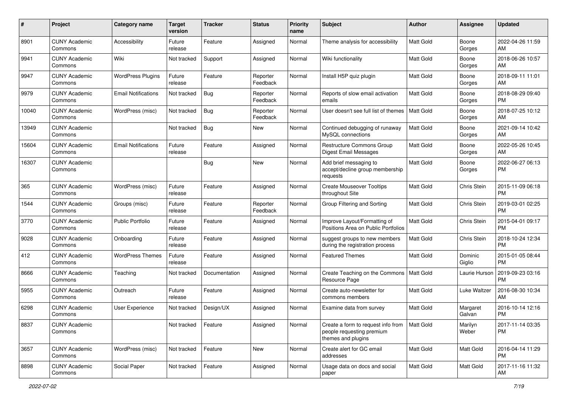| #     | Project                         | <b>Category name</b>       | <b>Target</b><br>version | <b>Tracker</b> | <b>Status</b>        | Priority<br>name | <b>Subject</b>                                                                        | <b>Author</b>    | <b>Assignee</b>    | <b>Updated</b>                |
|-------|---------------------------------|----------------------------|--------------------------|----------------|----------------------|------------------|---------------------------------------------------------------------------------------|------------------|--------------------|-------------------------------|
| 8901  | <b>CUNY Academic</b><br>Commons | Accessibility              | Future<br>release        | Feature        | Assigned             | Normal           | Theme analysis for accessibility                                                      | Matt Gold        | Boone<br>Gorges    | 2022-04-26 11:59<br>AM.       |
| 9941  | <b>CUNY Academic</b><br>Commons | Wiki                       | Not tracked              | Support        | Assigned             | Normal           | Wiki functionality                                                                    | <b>Matt Gold</b> | Boone<br>Gorges    | 2018-06-26 10:57<br>AM        |
| 9947  | <b>CUNY Academic</b><br>Commons | <b>WordPress Plugins</b>   | Future<br>release        | Feature        | Reporter<br>Feedback | Normal           | Install H5P quiz plugin                                                               | <b>Matt Gold</b> | Boone<br>Gorges    | 2018-09-11 11:01<br>AM.       |
| 9979  | <b>CUNY Academic</b><br>Commons | <b>Email Notifications</b> | Not tracked              | Bug            | Reporter<br>Feedback | Normal           | Reports of slow email activation<br>emails                                            | <b>Matt Gold</b> | Boone<br>Gorges    | 2018-08-29 09:40<br><b>PM</b> |
| 10040 | <b>CUNY Academic</b><br>Commons | WordPress (misc)           | Not tracked              | Bug            | Reporter<br>Feedback | Normal           | User doesn't see full list of themes                                                  | <b>Matt Gold</b> | Boone<br>Gorges    | 2018-07-25 10:12<br>AM        |
| 13949 | <b>CUNY Academic</b><br>Commons |                            | Not tracked              | Bug            | New                  | Normal           | Continued debugging of runaway<br>MySQL connections                                   | <b>Matt Gold</b> | Boone<br>Gorges    | 2021-09-14 10:42<br>AM.       |
| 15604 | <b>CUNY Academic</b><br>Commons | <b>Email Notifications</b> | Future<br>release        | Feature        | Assigned             | Normal           | Restructure Commons Group<br><b>Digest Email Messages</b>                             | <b>Matt Gold</b> | Boone<br>Gorges    | 2022-05-26 10:45<br>AM.       |
| 16307 | <b>CUNY Academic</b><br>Commons |                            |                          | Bug            | New                  | Normal           | Add brief messaging to<br>accept/decline group membership<br>requests                 | <b>Matt Gold</b> | Boone<br>Gorges    | 2022-06-27 06:13<br>PM.       |
| 365   | <b>CUNY Academic</b><br>Commons | WordPress (misc)           | Future<br>release        | Feature        | Assigned             | Normal           | <b>Create Mouseover Tooltips</b><br>throughout Site                                   | <b>Matt Gold</b> | Chris Stein        | 2015-11-09 06:18<br><b>PM</b> |
| 1544  | <b>CUNY Academic</b><br>Commons | Groups (misc)              | Future<br>release        | Feature        | Reporter<br>Feedback | Normal           | Group Filtering and Sorting                                                           | <b>Matt Gold</b> | Chris Stein        | 2019-03-01 02:25<br><b>PM</b> |
| 3770  | <b>CUNY Academic</b><br>Commons | <b>Public Portfolio</b>    | Future<br>release        | Feature        | Assigned             | Normal           | Improve Layout/Formatting of<br>Positions Area on Public Portfolios                   | <b>Matt Gold</b> | Chris Stein        | 2015-04-01 09:17<br><b>PM</b> |
| 9028  | <b>CUNY Academic</b><br>Commons | Onboarding                 | Future<br>release        | Feature        | Assigned             | Normal           | suggest groups to new members<br>during the registration process                      | Matt Gold        | Chris Stein        | 2018-10-24 12:34<br><b>PM</b> |
| 412   | <b>CUNY Academic</b><br>Commons | <b>WordPress Themes</b>    | Future<br>release        | Feature        | Assigned             | Normal           | <b>Featured Themes</b>                                                                | <b>Matt Gold</b> | Dominic<br>Giglio  | 2015-01-05 08:44<br><b>PM</b> |
| 8666  | <b>CUNY Academic</b><br>Commons | Teaching                   | Not tracked              | Documentation  | Assigned             | Normal           | Create Teaching on the Commons<br>Resource Page                                       | l Matt Gold      | Laurie Hurson      | 2019-09-23 03:16<br><b>PM</b> |
| 5955  | <b>CUNY Academic</b><br>Commons | Outreach                   | Future<br>release        | Feature        | Assigned             | Normal           | Create auto-newsletter for<br>commons members                                         | Matt Gold        | Luke Waltzer       | 2016-08-30 10:34<br>AM        |
| 6298  | <b>CUNY Academic</b><br>Commons | User Experience            | Not tracked              | Design/UX      | Assigned             | Normal           | Examine data from survey                                                              | <b>Matt Gold</b> | Margaret<br>Galvan | 2016-10-14 12:16<br><b>PM</b> |
| 8837  | <b>CUNY Academic</b><br>Commons |                            | Not tracked              | Feature        | Assigned             | Normal           | Create a form to request info from<br>people requesting premium<br>themes and plugins | Matt Gold        | Marilyn<br>Weber   | 2017-11-14 03:35<br><b>PM</b> |
| 3657  | <b>CUNY Academic</b><br>Commons | WordPress (misc)           | Not tracked              | Feature        | New                  | Normal           | Create alert for GC email<br>addresses                                                | Matt Gold        | Matt Gold          | 2016-04-14 11:29<br><b>PM</b> |
| 8898  | <b>CUNY Academic</b><br>Commons | Social Paper               | Not tracked              | Feature        | Assigned             | Normal           | Usage data on docs and social<br>paper                                                | Matt Gold        | Matt Gold          | 2017-11-16 11:32<br>AM        |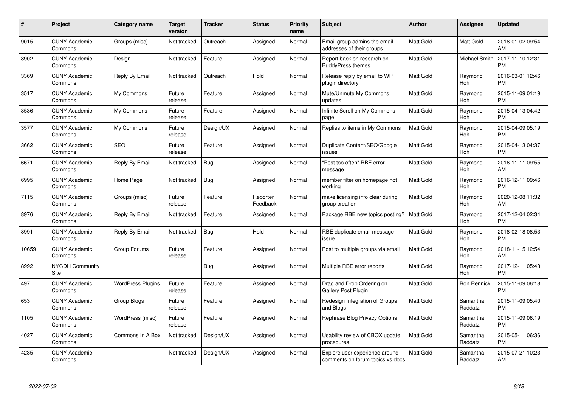| $\#$  | Project                         | <b>Category name</b>     | Target<br>version | <b>Tracker</b> | <b>Status</b>        | Priority<br>name | <b>Subject</b>                                                     | <b>Author</b>    | <b>Assignee</b>     | <b>Updated</b>                |
|-------|---------------------------------|--------------------------|-------------------|----------------|----------------------|------------------|--------------------------------------------------------------------|------------------|---------------------|-------------------------------|
| 9015  | <b>CUNY Academic</b><br>Commons | Groups (misc)            | Not tracked       | Outreach       | Assigned             | Normal           | Email group admins the email<br>addresses of their groups          | <b>Matt Gold</b> | Matt Gold           | 2018-01-02 09:54<br>AM        |
| 8902  | <b>CUNY Academic</b><br>Commons | Design                   | Not tracked       | Feature        | Assigned             | Normal           | Report back on research on<br><b>BuddyPress themes</b>             | <b>Matt Gold</b> | Michael Smith       | 2017-11-10 12:31<br><b>PM</b> |
| 3369  | <b>CUNY Academic</b><br>Commons | Reply By Email           | Not tracked       | Outreach       | Hold                 | Normal           | Release reply by email to WP<br>plugin directory                   | <b>Matt Gold</b> | Raymond<br>Hoh      | 2016-03-01 12:46<br><b>PM</b> |
| 3517  | <b>CUNY Academic</b><br>Commons | My Commons               | Future<br>release | Feature        | Assigned             | Normal           | Mute/Unmute My Commons<br>updates                                  | <b>Matt Gold</b> | Raymond<br>Hoh      | 2015-11-09 01:19<br><b>PM</b> |
| 3536  | <b>CUNY Academic</b><br>Commons | My Commons               | Future<br>release | Feature        | Assigned             | Normal           | Infinite Scroll on My Commons<br>page                              | <b>Matt Gold</b> | Raymond<br>Hoh      | 2015-04-13 04:42<br><b>PM</b> |
| 3577  | <b>CUNY Academic</b><br>Commons | My Commons               | Future<br>release | Design/UX      | Assigned             | Normal           | Replies to items in My Commons                                     | <b>Matt Gold</b> | Raymond<br>Hoh      | 2015-04-09 05:19<br><b>PM</b> |
| 3662  | <b>CUNY Academic</b><br>Commons | <b>SEO</b>               | Future<br>release | Feature        | Assigned             | Normal           | Duplicate Content/SEO/Google<br>issues                             | Matt Gold        | Raymond<br>Hoh      | 2015-04-13 04:37<br><b>PM</b> |
| 6671  | <b>CUNY Academic</b><br>Commons | Reply By Email           | Not tracked       | Bug            | Assigned             | Normal           | "Post too often" RBE error<br>message                              | <b>Matt Gold</b> | Raymond<br>Hoh      | 2016-11-11 09:55<br>AM        |
| 6995  | <b>CUNY Academic</b><br>Commons | Home Page                | Not tracked       | <b>Bug</b>     | Assigned             | Normal           | member filter on homepage not<br>workina                           | <b>Matt Gold</b> | Raymond<br>Hoh      | 2016-12-11 09:46<br><b>PM</b> |
| 7115  | <b>CUNY Academic</b><br>Commons | Groups (misc)            | Future<br>release | Feature        | Reporter<br>Feedback | Normal           | make licensing info clear during<br>group creation                 | <b>Matt Gold</b> | Raymond<br>Hoh      | 2020-12-08 11:32<br>AM        |
| 8976  | <b>CUNY Academic</b><br>Commons | Reply By Email           | Not tracked       | Feature        | Assigned             | Normal           | Package RBE new topics posting?                                    | <b>Matt Gold</b> | Raymond<br>Hoh      | 2017-12-04 02:34<br><b>PM</b> |
| 8991  | <b>CUNY Academic</b><br>Commons | Reply By Email           | Not tracked       | <b>Bug</b>     | Hold                 | Normal           | RBE duplicate email message<br>issue                               | Matt Gold        | Raymond<br>Hoh      | 2018-02-18 08:53<br><b>PM</b> |
| 10659 | <b>CUNY Academic</b><br>Commons | Group Forums             | Future<br>release | Feature        | Assigned             | Normal           | Post to multiple groups via email                                  | <b>Matt Gold</b> | Raymond<br>Hoh      | 2018-11-15 12:54<br>AM        |
| 8992  | <b>NYCDH Community</b><br>Site  |                          |                   | Bug            | Assigned             | Normal           | Multiple RBE error reports                                         | <b>Matt Gold</b> | Raymond<br>Hoh      | 2017-12-11 05:43<br><b>PM</b> |
| 497   | <b>CUNY Academic</b><br>Commons | <b>WordPress Plugins</b> | Future<br>release | Feature        | Assigned             | Normal           | Drag and Drop Ordering on<br>Gallery Post Plugin                   | Matt Gold        | Ron Rennick         | 2015-11-09 06:18<br><b>PM</b> |
| 653   | <b>CUNY Academic</b><br>Commons | <b>Group Blogs</b>       | Future<br>release | Feature        | Assigned             | Normal           | Redesign Integration of Groups<br>and Blogs                        | Matt Gold        | Samantha<br>Raddatz | 2015-11-09 05:40<br><b>PM</b> |
| 1105  | <b>CUNY Academic</b><br>Commons | WordPress (misc)         | Future<br>release | Feature        | Assigned             | Normal           | Rephrase Blog Privacy Options                                      | <b>Matt Gold</b> | Samantha<br>Raddatz | 2015-11-09 06:19<br><b>PM</b> |
| 4027  | <b>CUNY Academic</b><br>Commons | Commons In A Box         | Not tracked       | Design/UX      | Assigned             | Normal           | Usability review of CBOX update<br>procedures                      | Matt Gold        | Samantha<br>Raddatz | 2015-05-11 06:36<br><b>PM</b> |
| 4235  | <b>CUNY Academic</b><br>Commons |                          | Not tracked       | Design/UX      | Assigned             | Normal           | Explore user experience around<br>comments on forum topics vs docs | <b>Matt Gold</b> | Samantha<br>Raddatz | 2015-07-21 10:23<br>AM        |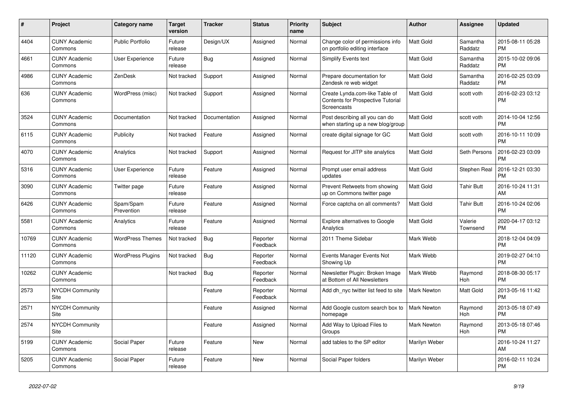| $\#$  | <b>Project</b>                        | Category name            | <b>Target</b><br>version | <b>Tracker</b> | <b>Status</b>        | <b>Priority</b><br>name | <b>Subject</b>                                                                            | <b>Author</b>      | Assignee              | <b>Updated</b>                |
|-------|---------------------------------------|--------------------------|--------------------------|----------------|----------------------|-------------------------|-------------------------------------------------------------------------------------------|--------------------|-----------------------|-------------------------------|
| 4404  | <b>CUNY Academic</b><br>Commons       | <b>Public Portfolio</b>  | Future<br>release        | Design/UX      | Assigned             | Normal                  | Change color of permissions info<br>on portfolio editing interface                        | <b>Matt Gold</b>   | Samantha<br>Raddatz   | 2015-08-11 05:28<br><b>PM</b> |
| 4661  | <b>CUNY Academic</b><br>Commons       | User Experience          | Future<br>release        | Bug            | Assigned             | Normal                  | Simplify Events text                                                                      | Matt Gold          | Samantha<br>Raddatz   | 2015-10-02 09:06<br><b>PM</b> |
| 4986  | <b>CUNY Academic</b><br>Commons       | ZenDesk                  | Not tracked              | Support        | Assigned             | Normal                  | Prepare documentation for<br>Zendesk re web widget                                        | Matt Gold          | Samantha<br>Raddatz   | 2016-02-25 03:09<br><b>PM</b> |
| 636   | <b>CUNY Academic</b><br>Commons       | WordPress (misc)         | Not tracked              | Support        | Assigned             | Normal                  | Create Lynda.com-like Table of<br><b>Contents for Prospective Tutorial</b><br>Screencasts | Matt Gold          | scott voth            | 2016-02-23 03:12<br><b>PM</b> |
| 3524  | <b>CUNY Academic</b><br>Commons       | Documentation            | Not tracked              | Documentation  | Assigned             | Normal                  | Post describing all you can do<br>when starting up a new blog/group                       | Matt Gold          | scott voth            | 2014-10-04 12:56<br><b>PM</b> |
| 6115  | <b>CUNY Academic</b><br>Commons       | Publicity                | Not tracked              | Feature        | Assigned             | Normal                  | create digital signage for GC                                                             | Matt Gold          | scott voth            | 2016-10-11 10:09<br><b>PM</b> |
| 4070  | <b>CUNY Academic</b><br>Commons       | Analytics                | Not tracked              | Support        | Assigned             | Normal                  | Request for JITP site analytics                                                           | Matt Gold          | Seth Persons          | 2016-02-23 03:09<br><b>PM</b> |
| 5316  | <b>CUNY Academic</b><br>Commons       | User Experience          | Future<br>release        | Feature        | Assigned             | Normal                  | Prompt user email address<br>updates                                                      | Matt Gold          | Stephen Real          | 2016-12-21 03:30<br><b>PM</b> |
| 3090  | <b>CUNY Academic</b><br>Commons       | Twitter page             | Future<br>release        | Feature        | Assigned             | Normal                  | Prevent Retweets from showing<br>up on Commons twitter page                               | Matt Gold          | <b>Tahir Butt</b>     | 2016-10-24 11:31<br>AM        |
| 6426  | <b>CUNY Academic</b><br>Commons       | Spam/Spam<br>Prevention  | Future<br>release        | Feature        | Assigned             | Normal                  | Force captcha on all comments?                                                            | Matt Gold          | <b>Tahir Butt</b>     | 2016-10-24 02:06<br><b>PM</b> |
| 5581  | <b>CUNY Academic</b><br>Commons       | Analytics                | Future<br>release        | Feature        | Assigned             | Normal                  | Explore alternatives to Google<br>Analytics                                               | <b>Matt Gold</b>   | Valerie<br>Townsend   | 2020-04-17 03:12<br><b>PM</b> |
| 10769 | <b>CUNY Academic</b><br>Commons       | <b>WordPress Themes</b>  | Not tracked              | <b>Bug</b>     | Reporter<br>Feedback | Normal                  | 2011 Theme Sidebar                                                                        | Mark Webb          |                       | 2018-12-04 04:09<br><b>PM</b> |
| 11120 | <b>CUNY Academic</b><br>Commons       | <b>WordPress Plugins</b> | Not tracked              | Bug            | Reporter<br>Feedback | Normal                  | Events Manager Events Not<br>Showing Up                                                   | Mark Webb          |                       | 2019-02-27 04:10<br><b>PM</b> |
| 10262 | <b>CUNY Academic</b><br>Commons       |                          | Not tracked              | <b>Bug</b>     | Reporter<br>Feedback | Normal                  | Newsletter Plugin: Broken Image<br>at Bottom of All Newsletters                           | Mark Webb          | Raymond<br><b>Hoh</b> | 2018-08-30 05:17<br><b>PM</b> |
| 2573  | <b>NYCDH Community</b><br>Site        |                          |                          | Feature        | Reporter<br>Feedback | Normal                  | Add dh nyc twitter list feed to site                                                      | Mark Newton        | Matt Gold             | 2013-05-16 11:42<br><b>PM</b> |
| 2571  | <b>NYCDH Community</b><br><b>Site</b> |                          |                          | Feature        | Assigned             | Normal                  | Add Google custom search box to<br>homepage                                               | <b>Mark Newton</b> | Raymond<br><b>Hoh</b> | 2013-05-18 07:49<br><b>PM</b> |
| 2574  | <b>NYCDH Community</b><br>Site        |                          |                          | Feature        | Assigned             | Normal                  | Add Way to Upload Files to<br>Groups                                                      | <b>Mark Newton</b> | Raymond<br><b>Hoh</b> | 2013-05-18 07:46<br><b>PM</b> |
| 5199  | <b>CUNY Academic</b><br>Commons       | Social Paper             | Future<br>release        | Feature        | <b>New</b>           | Normal                  | add tables to the SP editor                                                               | Marilyn Weber      |                       | 2016-10-24 11:27<br>AM        |
| 5205  | <b>CUNY Academic</b><br>Commons       | Social Paper             | Future<br>release        | Feature        | <b>New</b>           | Normal                  | Social Paper folders                                                                      | Marilyn Weber      |                       | 2016-02-11 10:24<br><b>PM</b> |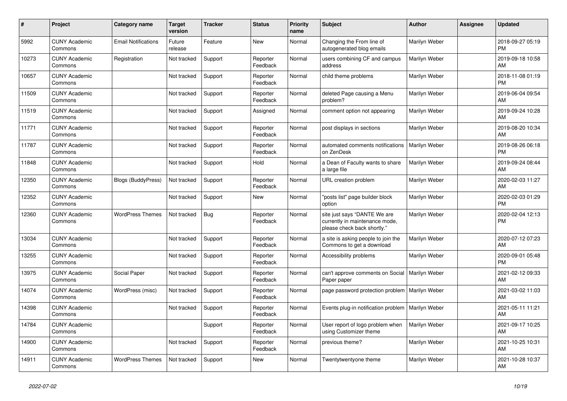| #     | <b>Project</b>                  | Category name              | <b>Target</b><br>version | <b>Tracker</b> | <b>Status</b>        | <b>Priority</b><br>name | <b>Subject</b>                                                                                | <b>Author</b> | <b>Assignee</b> | <b>Updated</b>                |
|-------|---------------------------------|----------------------------|--------------------------|----------------|----------------------|-------------------------|-----------------------------------------------------------------------------------------------|---------------|-----------------|-------------------------------|
| 5992  | <b>CUNY Academic</b><br>Commons | <b>Email Notifications</b> | Future<br>release        | Feature        | New                  | Normal                  | Changing the From line of<br>autogenerated blog emails                                        | Marilyn Weber |                 | 2018-09-27 05:19<br><b>PM</b> |
| 10273 | <b>CUNY Academic</b><br>Commons | Registration               | Not tracked              | Support        | Reporter<br>Feedback | Normal                  | users combining CF and campus<br>address                                                      | Marilyn Weber |                 | 2019-09-18 10:58<br>AM        |
| 10657 | <b>CUNY Academic</b><br>Commons |                            | Not tracked              | Support        | Reporter<br>Feedback | Normal                  | child theme problems                                                                          | Marilyn Weber |                 | 2018-11-08 01:19<br><b>PM</b> |
| 11509 | <b>CUNY Academic</b><br>Commons |                            | Not tracked              | Support        | Reporter<br>Feedback | Normal                  | deleted Page causing a Menu<br>problem?                                                       | Marilyn Weber |                 | 2019-06-04 09:54<br>AM        |
| 11519 | <b>CUNY Academic</b><br>Commons |                            | Not tracked              | Support        | Assigned             | Normal                  | comment option not appearing                                                                  | Marilyn Weber |                 | 2019-09-24 10:28<br>AM        |
| 11771 | <b>CUNY Academic</b><br>Commons |                            | Not tracked              | Support        | Reporter<br>Feedback | Normal                  | post displays in sections                                                                     | Marilyn Weber |                 | 2019-08-20 10:34<br>AM        |
| 11787 | <b>CUNY Academic</b><br>Commons |                            | Not tracked              | Support        | Reporter<br>Feedback | Normal                  | automated comments notifications<br>on ZenDesk                                                | Marilyn Weber |                 | 2019-08-26 06:18<br><b>PM</b> |
| 11848 | <b>CUNY Academic</b><br>Commons |                            | Not tracked              | Support        | Hold                 | Normal                  | a Dean of Faculty wants to share<br>a large file                                              | Marilyn Weber |                 | 2019-09-24 08:44<br>AM        |
| 12350 | <b>CUNY Academic</b><br>Commons | <b>Blogs (BuddyPress)</b>  | Not tracked              | Support        | Reporter<br>Feedback | Normal                  | URL creation problem                                                                          | Marilyn Weber |                 | 2020-02-03 11:27<br>AM        |
| 12352 | <b>CUNY Academic</b><br>Commons |                            | Not tracked              | Support        | New                  | Normal                  | "posts list" page builder block<br>option                                                     | Marilyn Weber |                 | 2020-02-03 01:29<br><b>PM</b> |
| 12360 | <b>CUNY Academic</b><br>Commons | <b>WordPress Themes</b>    | Not tracked              | Bug            | Reporter<br>Feedback | Normal                  | site just says "DANTE We are<br>currently in maintenance mode,<br>please check back shortly." | Marilyn Weber |                 | 2020-02-04 12:13<br><b>PM</b> |
| 13034 | <b>CUNY Academic</b><br>Commons |                            | Not tracked              | Support        | Reporter<br>Feedback | Normal                  | a site is asking people to join the<br>Commons to get a download                              | Marilyn Weber |                 | 2020-07-12 07:23<br>AM        |
| 13255 | <b>CUNY Academic</b><br>Commons |                            | Not tracked              | Support        | Reporter<br>Feedback | Normal                  | Accessibility problems                                                                        | Marilyn Weber |                 | 2020-09-01 05:48<br><b>PM</b> |
| 13975 | <b>CUNY Academic</b><br>Commons | Social Paper               | Not tracked              | Support        | Reporter<br>Feedback | Normal                  | can't approve comments on Social<br>Paper paper                                               | Marilyn Weber |                 | 2021-02-12 09:33<br>AM        |
| 14074 | <b>CUNY Academic</b><br>Commons | WordPress (misc)           | Not tracked              | Support        | Reporter<br>Feedback | Normal                  | page password protection problem                                                              | Marilyn Weber |                 | 2021-03-02 11:03<br>AM        |
| 14398 | <b>CUNY Academic</b><br>Commons |                            | Not tracked              | Support        | Reporter<br>Feedback | Normal                  | Events plug-in notification problem                                                           | Marilyn Weber |                 | 2021-05-11 11:21<br>AM        |
| 14784 | <b>CUNY Academic</b><br>Commons |                            |                          | Support        | Reporter<br>Feedback | Normal                  | User report of logo problem when<br>using Customizer theme                                    | Marilyn Weber |                 | 2021-09-17 10:25<br>AM        |
| 14900 | <b>CUNY Academic</b><br>Commons |                            | Not tracked              | Support        | Reporter<br>Feedback | Normal                  | previous theme?                                                                               | Marilyn Weber |                 | 2021-10-25 10:31<br>AM        |
| 14911 | <b>CUNY Academic</b><br>Commons | <b>WordPress Themes</b>    | Not tracked              | Support        | <b>New</b>           | Normal                  | Twentytwentyone theme                                                                         | Marilyn Weber |                 | 2021-10-28 10:37<br>AM        |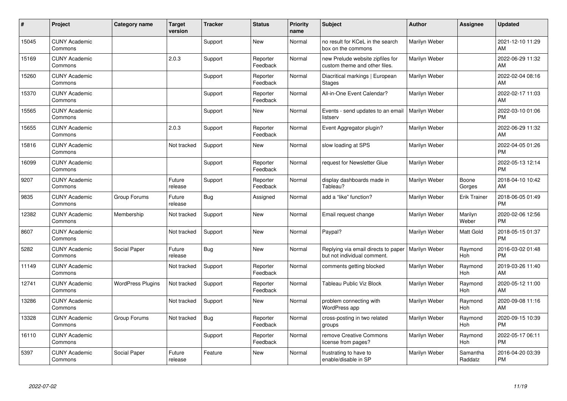| #     | Project                         | <b>Category name</b>     | <b>Target</b><br>version | <b>Tracker</b> | <b>Status</b>        | <b>Priority</b><br>name | <b>Subject</b>                                                     | <b>Author</b> | <b>Assignee</b>     | <b>Updated</b>                |
|-------|---------------------------------|--------------------------|--------------------------|----------------|----------------------|-------------------------|--------------------------------------------------------------------|---------------|---------------------|-------------------------------|
| 15045 | <b>CUNY Academic</b><br>Commons |                          |                          | Support        | <b>New</b>           | Normal                  | no result for KCeL in the search<br>box on the commons             | Marilyn Weber |                     | 2021-12-10 11:29<br>AM        |
| 15169 | <b>CUNY Academic</b><br>Commons |                          | 2.0.3                    | Support        | Reporter<br>Feedback | Normal                  | new Prelude website zipfiles for<br>custom theme and other files.  | Marilyn Weber |                     | 2022-06-29 11:32<br>AM        |
| 15260 | <b>CUNY Academic</b><br>Commons |                          |                          | Support        | Reporter<br>Feedback | Normal                  | Diacritical markings   European<br><b>Stages</b>                   | Marilyn Weber |                     | 2022-02-04 08:16<br>AM        |
| 15370 | <b>CUNY Academic</b><br>Commons |                          |                          | Support        | Reporter<br>Feedback | Normal                  | All-in-One Event Calendar?                                         | Marilyn Weber |                     | 2022-02-17 11:03<br><b>AM</b> |
| 15565 | <b>CUNY Academic</b><br>Commons |                          |                          | Support        | <b>New</b>           | Normal                  | Events - send updates to an email<br>listserv                      | Marilyn Weber |                     | 2022-03-10 01:06<br><b>PM</b> |
| 15655 | <b>CUNY Academic</b><br>Commons |                          | 2.0.3                    | Support        | Reporter<br>Feedback | Normal                  | Event Aggregator plugin?                                           | Marilyn Weber |                     | 2022-06-29 11:32<br><b>AM</b> |
| 15816 | <b>CUNY Academic</b><br>Commons |                          | Not tracked              | Support        | New                  | Normal                  | slow loading at SPS                                                | Marilyn Weber |                     | 2022-04-05 01:26<br><b>PM</b> |
| 16099 | <b>CUNY Academic</b><br>Commons |                          |                          | Support        | Reporter<br>Feedback | Normal                  | request for Newsletter Glue                                        | Marilyn Weber |                     | 2022-05-13 12:14<br><b>PM</b> |
| 9207  | <b>CUNY Academic</b><br>Commons |                          | Future<br>release        | Support        | Reporter<br>Feedback | Normal                  | display dashboards made in<br>Tableau?                             | Marilyn Weber | Boone<br>Gorges     | 2018-04-10 10:42<br>AM        |
| 9835  | <b>CUNY Academic</b><br>Commons | Group Forums             | Future<br>release        | Bug            | Assigned             | Normal                  | add a "like" function?                                             | Marilyn Weber | <b>Erik Trainer</b> | 2018-06-05 01:49<br><b>PM</b> |
| 12382 | <b>CUNY Academic</b><br>Commons | Membership               | Not tracked              | Support        | New                  | Normal                  | Email request change                                               | Marilyn Weber | Marilyn<br>Weber    | 2020-02-06 12:56<br><b>PM</b> |
| 8607  | <b>CUNY Academic</b><br>Commons |                          | Not tracked              | Support        | New                  | Normal                  | Paypal?                                                            | Marilyn Weber | Matt Gold           | 2018-05-15 01:37<br><b>PM</b> |
| 5282  | <b>CUNY Academic</b><br>Commons | Social Paper             | Future<br>release        | <b>Bug</b>     | New                  | Normal                  | Replying via email directs to paper<br>but not individual comment. | Marilyn Weber | Raymond<br>Hoh      | 2016-03-02 01:48<br><b>PM</b> |
| 11149 | <b>CUNY Academic</b><br>Commons |                          | Not tracked              | Support        | Reporter<br>Feedback | Normal                  | comments getting blocked                                           | Marilyn Weber | Raymond<br>Hoh      | 2019-03-26 11:40<br><b>AM</b> |
| 12741 | <b>CUNY Academic</b><br>Commons | <b>WordPress Plugins</b> | Not tracked              | Support        | Reporter<br>Feedback | Normal                  | Tableau Public Viz Block                                           | Marilyn Weber | Raymond<br>Hoh      | 2020-05-12 11:00<br><b>AM</b> |
| 13286 | <b>CUNY Academic</b><br>Commons |                          | Not tracked              | Support        | New                  | Normal                  | problem connecting with<br><b>WordPress app</b>                    | Marilyn Weber | Raymond<br>Hoh      | 2020-09-08 11:16<br>AM        |
| 13328 | <b>CUNY Academic</b><br>Commons | Group Forums             | Not tracked              | Bug            | Reporter<br>Feedback | Normal                  | cross-posting in two related<br>groups                             | Marilyn Weber | Raymond<br>Hoh      | 2020-09-15 10:39<br><b>PM</b> |
| 16110 | <b>CUNY Academic</b><br>Commons |                          |                          | Support        | Reporter<br>Feedback | Normal                  | remove Creative Commons<br>license from pages?                     | Marilyn Weber | Raymond<br>Hoh      | 2022-05-17 06:11<br><b>PM</b> |
| 5397  | <b>CUNY Academic</b><br>Commons | Social Paper             | Future<br>release        | Feature        | <b>New</b>           | Normal                  | frustrating to have to<br>enable/disable in SP                     | Marilyn Weber | Samantha<br>Raddatz | 2016-04-20 03:39<br>PM        |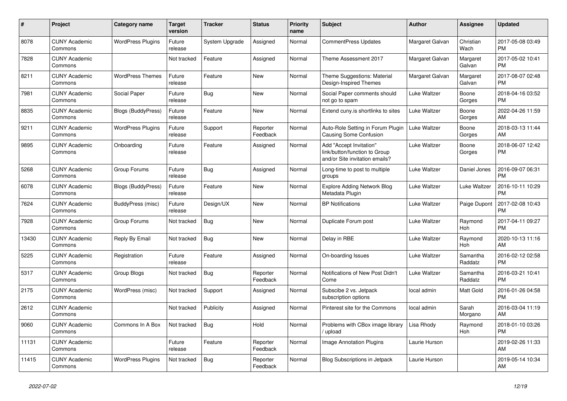| $\#$  | Project                         | <b>Category name</b>      | <b>Target</b><br>version | <b>Tracker</b> | <b>Status</b>        | <b>Priority</b><br>name | <b>Subject</b>                                                                             | <b>Author</b>   | <b>Assignee</b>     | <b>Updated</b>                |
|-------|---------------------------------|---------------------------|--------------------------|----------------|----------------------|-------------------------|--------------------------------------------------------------------------------------------|-----------------|---------------------|-------------------------------|
| 8078  | <b>CUNY Academic</b><br>Commons | <b>WordPress Plugins</b>  | Future<br>release        | System Upgrade | Assigned             | Normal                  | <b>CommentPress Updates</b>                                                                | Margaret Galvan | Christian<br>Wach   | 2017-05-08 03:49<br><b>PM</b> |
| 7828  | <b>CUNY Academic</b><br>Commons |                           | Not tracked              | Feature        | Assigned             | Normal                  | Theme Assessment 2017                                                                      | Margaret Galvan | Margaret<br>Galvan  | 2017-05-02 10:41<br><b>PM</b> |
| 8211  | <b>CUNY Academic</b><br>Commons | <b>WordPress Themes</b>   | Future<br>release        | Feature        | <b>New</b>           | Normal                  | Theme Suggestions: Material<br>Design-Inspired Themes                                      | Margaret Galvan | Margaret<br>Galvan  | 2017-08-07 02:48<br><b>PM</b> |
| 7981  | <b>CUNY Academic</b><br>Commons | Social Paper              | Future<br>release        | Bug            | <b>New</b>           | Normal                  | Social Paper comments should<br>not go to spam                                             | Luke Waltzer    | Boone<br>Gorges     | 2018-04-16 03:52<br><b>PM</b> |
| 8835  | <b>CUNY Academic</b><br>Commons | <b>Blogs (BuddyPress)</b> | Future<br>release        | Feature        | New                  | Normal                  | Extend cuny.is shortlinks to sites                                                         | Luke Waltzer    | Boone<br>Gorges     | 2022-04-26 11:59<br>AM        |
| 9211  | <b>CUNY Academic</b><br>Commons | <b>WordPress Plugins</b>  | Future<br>release        | Support        | Reporter<br>Feedback | Normal                  | Auto-Role Setting in Forum Plugin<br><b>Causing Some Confusion</b>                         | Luke Waltzer    | Boone<br>Gorges     | 2018-03-13 11:44<br>AM        |
| 9895  | <b>CUNY Academic</b><br>Commons | Onboarding                | Future<br>release        | Feature        | Assigned             | Normal                  | Add "Accept Invitation"<br>link/button/function to Group<br>and/or Site invitation emails? | Luke Waltzer    | Boone<br>Gorges     | 2018-06-07 12:42<br><b>PM</b> |
| 5268  | <b>CUNY Academic</b><br>Commons | Group Forums              | Future<br>release        | Bug            | Assigned             | Normal                  | Long-time to post to multiple<br>groups                                                    | Luke Waltzer    | Daniel Jones        | 2016-09-07 06:31<br><b>PM</b> |
| 6078  | <b>CUNY Academic</b><br>Commons | <b>Blogs (BuddyPress)</b> | Future<br>release        | Feature        | <b>New</b>           | Normal                  | Explore Adding Network Blog<br>Metadata Plugin                                             | Luke Waltzer    | Luke Waltzer        | 2016-10-11 10:29<br><b>PM</b> |
| 7624  | <b>CUNY Academic</b><br>Commons | BuddyPress (misc)         | Future<br>release        | Design/UX      | <b>New</b>           | Normal                  | <b>BP</b> Notifications                                                                    | Luke Waltzer    | Paige Dupont        | 2017-02-08 10:43<br><b>PM</b> |
| 7928  | <b>CUNY Academic</b><br>Commons | Group Forums              | Not tracked              | Bug            | New                  | Normal                  | Duplicate Forum post                                                                       | Luke Waltzer    | Raymond<br>Hoh      | 2017-04-11 09:27<br><b>PM</b> |
| 13430 | <b>CUNY Academic</b><br>Commons | Reply By Email            | Not tracked              | <b>Bug</b>     | <b>New</b>           | Normal                  | Delay in RBE                                                                               | Luke Waltzer    | Raymond<br>Hoh      | 2020-10-13 11:16<br>AM        |
| 5225  | <b>CUNY Academic</b><br>Commons | Registration              | Future<br>release        | Feature        | Assigned             | Normal                  | On-boarding Issues                                                                         | Luke Waltzer    | Samantha<br>Raddatz | 2016-02-12 02:58<br><b>PM</b> |
| 5317  | <b>CUNY Academic</b><br>Commons | Group Blogs               | Not tracked              | <b>Bug</b>     | Reporter<br>Feedback | Normal                  | Notifications of New Post Didn't<br>Come                                                   | Luke Waltzer    | Samantha<br>Raddatz | 2016-03-21 10:41<br><b>PM</b> |
| 2175  | <b>CUNY Academic</b><br>Commons | WordPress (misc)          | Not tracked              | Support        | Assigned             | Normal                  | Subscibe 2 vs. Jetpack<br>subscription options                                             | local admin     | Matt Gold           | 2016-01-26 04:58<br><b>PM</b> |
| 2612  | <b>CUNY Academic</b><br>Commons |                           | Not tracked              | Publicity      | Assigned             | Normal                  | Pinterest site for the Commons                                                             | local admin     | Sarah<br>Morgano    | 2016-03-04 11:19<br>AM        |
| 9060  | <b>CUNY Academic</b><br>Commons | Commons In A Box          | Not tracked              | Bug            | Hold                 | Normal                  | Problems with CBox image library<br>/ upload                                               | Lisa Rhody      | Raymond<br>Hoh      | 2018-01-10 03:26<br><b>PM</b> |
| 11131 | <b>CUNY Academic</b><br>Commons |                           | Future<br>release        | Feature        | Reporter<br>Feedback | Normal                  | Image Annotation Plugins                                                                   | Laurie Hurson   |                     | 2019-02-26 11:33<br>AM        |
| 11415 | <b>CUNY Academic</b><br>Commons | <b>WordPress Plugins</b>  | Not tracked              | Bug            | Reporter<br>Feedback | Normal                  | Blog Subscriptions in Jetpack                                                              | Laurie Hurson   |                     | 2019-05-14 10:34<br>AM        |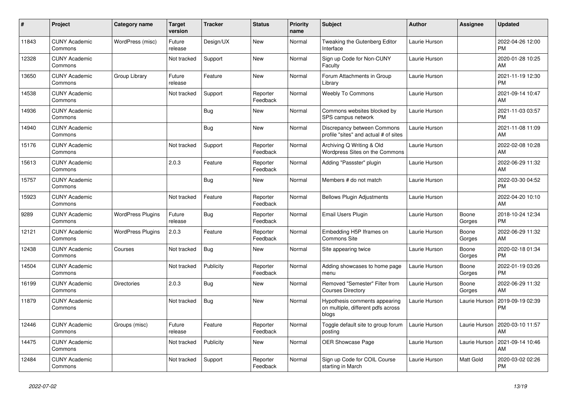| #     | Project                         | <b>Category name</b>     | <b>Target</b><br>version | <b>Tracker</b> | <b>Status</b>        | <b>Priority</b><br>name | <b>Subject</b>                                                               | <b>Author</b> | <b>Assignee</b> | <b>Updated</b>                |
|-------|---------------------------------|--------------------------|--------------------------|----------------|----------------------|-------------------------|------------------------------------------------------------------------------|---------------|-----------------|-------------------------------|
| 11843 | <b>CUNY Academic</b><br>Commons | WordPress (misc)         | Future<br>release        | Design/UX      | New                  | Normal                  | Tweaking the Gutenberg Editor<br>Interface                                   | Laurie Hurson |                 | 2022-04-26 12:00<br><b>PM</b> |
| 12328 | <b>CUNY Academic</b><br>Commons |                          | Not tracked              | Support        | New                  | Normal                  | Sign up Code for Non-CUNY<br>Faculty                                         | Laurie Hurson |                 | 2020-01-28 10:25<br>AM        |
| 13650 | <b>CUNY Academic</b><br>Commons | Group Library            | Future<br>release        | Feature        | <b>New</b>           | Normal                  | Forum Attachments in Group<br>Librarv                                        | Laurie Hurson |                 | 2021-11-19 12:30<br><b>PM</b> |
| 14538 | <b>CUNY Academic</b><br>Commons |                          | Not tracked              | Support        | Reporter<br>Feedback | Normal                  | <b>Weebly To Commons</b>                                                     | Laurie Hurson |                 | 2021-09-14 10:47<br>AM.       |
| 14936 | <b>CUNY Academic</b><br>Commons |                          |                          | Bug            | New                  | Normal                  | Commons websites blocked by<br>SPS campus network                            | Laurie Hurson |                 | 2021-11-03 03:57<br><b>PM</b> |
| 14940 | <b>CUNY Academic</b><br>Commons |                          |                          | <b>Bug</b>     | <b>New</b>           | Normal                  | Discrepancy between Commons<br>profile "sites" and actual # of sites         | Laurie Hurson |                 | 2021-11-08 11:09<br><b>AM</b> |
| 15176 | <b>CUNY Academic</b><br>Commons |                          | Not tracked              | Support        | Reporter<br>Feedback | Normal                  | Archiving Q Writing & Old<br>Wordpress Sites on the Commons                  | Laurie Hurson |                 | 2022-02-08 10:28<br>AM        |
| 15613 | <b>CUNY Academic</b><br>Commons |                          | 2.0.3                    | Feature        | Reporter<br>Feedback | Normal                  | Adding "Passster" plugin                                                     | Laurie Hurson |                 | 2022-06-29 11:32<br>AM        |
| 15757 | <b>CUNY Academic</b><br>Commons |                          |                          | Bug            | New                  | Normal                  | Members # do not match                                                       | Laurie Hurson |                 | 2022-03-30 04:52<br><b>PM</b> |
| 15923 | <b>CUNY Academic</b><br>Commons |                          | Not tracked              | Feature        | Reporter<br>Feedback | Normal                  | <b>Bellows Plugin Adjustments</b>                                            | Laurie Hurson |                 | 2022-04-20 10:10<br><b>AM</b> |
| 9289  | <b>CUNY Academic</b><br>Commons | <b>WordPress Plugins</b> | Future<br>release        | Bug            | Reporter<br>Feedback | Normal                  | Email Users Plugin                                                           | Laurie Hurson | Boone<br>Gorges | 2018-10-24 12:34<br><b>PM</b> |
| 12121 | <b>CUNY Academic</b><br>Commons | <b>WordPress Plugins</b> | 2.0.3                    | Feature        | Reporter<br>Feedback | Normal                  | Embedding H5P Iframes on<br><b>Commons Site</b>                              | Laurie Hurson | Boone<br>Gorges | 2022-06-29 11:32<br><b>AM</b> |
| 12438 | <b>CUNY Academic</b><br>Commons | Courses                  | Not tracked              | Bug            | New                  | Normal                  | Site appearing twice                                                         | Laurie Hurson | Boone<br>Gorges | 2020-02-18 01:34<br><b>PM</b> |
| 14504 | <b>CUNY Academic</b><br>Commons |                          | Not tracked              | Publicity      | Reporter<br>Feedback | Normal                  | Adding showcases to home page<br>menu                                        | Laurie Hurson | Boone<br>Gorges | 2022-01-19 03:26<br><b>PM</b> |
| 16199 | <b>CUNY Academic</b><br>Commons | <b>Directories</b>       | 2.0.3                    | <b>Bug</b>     | <b>New</b>           | Normal                  | Removed "Semester" Filter from<br><b>Courses Directory</b>                   | Laurie Hurson | Boone<br>Gorges | 2022-06-29 11:32<br>AM        |
| 11879 | <b>CUNY Academic</b><br>Commons |                          | Not tracked              | Bug            | New                  | Normal                  | Hypothesis comments appearing<br>on multiple, different pdfs across<br>blogs | Laurie Hurson | Laurie Hurson   | 2019-09-19 02:39<br>PM        |
| 12446 | <b>CUNY Academic</b><br>Commons | Groups (misc)            | Future<br>release        | Feature        | Reporter<br>Feedback | Normal                  | Toggle default site to group forum<br>posting                                | Laurie Hurson | Laurie Hurson   | 2020-03-10 11:57<br>AM        |
| 14475 | <b>CUNY Academic</b><br>Commons |                          | Not tracked              | Publicity      | New                  | Normal                  | <b>OER Showcase Page</b>                                                     | Laurie Hurson | Laurie Hurson   | 2021-09-14 10:46<br>AM        |
| 12484 | <b>CUNY Academic</b><br>Commons |                          | Not tracked              | Support        | Reporter<br>Feedback | Normal                  | Sign up Code for COIL Course<br>starting in March                            | Laurie Hurson | Matt Gold       | 2020-03-02 02:26<br><b>PM</b> |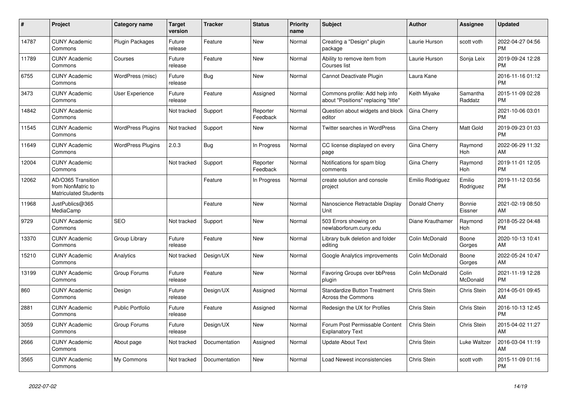| #     | Project                                                                 | Category name            | <b>Target</b><br>version | <b>Tracker</b> | <b>Status</b>        | <b>Priority</b><br>name | <b>Subject</b>                                                        | <b>Author</b>    | Assignee            | <b>Updated</b>                |
|-------|-------------------------------------------------------------------------|--------------------------|--------------------------|----------------|----------------------|-------------------------|-----------------------------------------------------------------------|------------------|---------------------|-------------------------------|
| 14787 | <b>CUNY Academic</b><br>Commons                                         | <b>Plugin Packages</b>   | Future<br>release        | Feature        | New                  | Normal                  | Creating a "Design" plugin<br>package                                 | Laurie Hurson    | scott voth          | 2022-04-27 04:56<br><b>PM</b> |
| 11789 | <b>CUNY Academic</b><br>Commons                                         | Courses                  | Future<br>release        | Feature        | New                  | Normal                  | Ability to remove item from<br>Courses list                           | Laurie Hurson    | Sonja Leix          | 2019-09-24 12:28<br><b>PM</b> |
| 6755  | <b>CUNY Academic</b><br>Commons                                         | WordPress (misc)         | Future<br>release        | Bug            | <b>New</b>           | Normal                  | Cannot Deactivate Plugin                                              | Laura Kane       |                     | 2016-11-16 01:12<br><b>PM</b> |
| 3473  | <b>CUNY Academic</b><br>Commons                                         | <b>User Experience</b>   | Future<br>release        | Feature        | Assigned             | Normal                  | Commons profile: Add help info<br>about "Positions" replacing "title" | Keith Miyake     | Samantha<br>Raddatz | 2015-11-09 02:28<br><b>PM</b> |
| 14842 | <b>CUNY Academic</b><br>Commons                                         |                          | Not tracked              | Support        | Reporter<br>Feedback | Normal                  | Question about widgets and block<br>editor                            | Gina Cherry      |                     | 2021-10-06 03:01<br><b>PM</b> |
| 11545 | <b>CUNY Academic</b><br>Commons                                         | <b>WordPress Plugins</b> | Not tracked              | Support        | New                  | Normal                  | Twitter searches in WordPress                                         | Gina Cherry      | Matt Gold           | 2019-09-23 01:03<br><b>PM</b> |
| 11649 | <b>CUNY Academic</b><br>Commons                                         | <b>WordPress Plugins</b> | 2.0.3                    | Bug            | In Progress          | Normal                  | CC license displayed on every<br>page                                 | Gina Cherry      | Raymond<br>Hoh      | 2022-06-29 11:32<br>AM        |
| 12004 | <b>CUNY Academic</b><br>Commons                                         |                          | Not tracked              | Support        | Reporter<br>Feedback | Normal                  | Notifications for spam blog<br>comments                               | Gina Cherry      | Raymond<br>Hoh      | 2019-11-01 12:05<br><b>PM</b> |
| 12062 | AD/O365 Transition<br>from NonMatric to<br><b>Matriculated Students</b> |                          |                          | Feature        | In Progress          | Normal                  | create solution and console<br>project                                | Emilio Rodriguez | Emilio<br>Rodriguez | 2019-11-12 03:56<br><b>PM</b> |
| 11968 | JustPublics@365<br>MediaCamp                                            |                          |                          | Feature        | <b>New</b>           | Normal                  | Nanoscience Retractable Display<br>Unit                               | Donald Cherry    | Bonnie<br>Eissner   | 2021-02-19 08:50<br>AM        |
| 9729  | <b>CUNY Academic</b><br>Commons                                         | <b>SEO</b>               | Not tracked              | Support        | New                  | Normal                  | 503 Errors showing on<br>newlaborforum.cuny.edu                       | Diane Krauthamer | Raymond<br>Hoh      | 2018-05-22 04:48<br><b>PM</b> |
| 13370 | <b>CUNY Academic</b><br>Commons                                         | Group Library            | Future<br>release        | Feature        | New                  | Normal                  | Library bulk deletion and folder<br>editing                           | Colin McDonald   | Boone<br>Gorges     | 2020-10-13 10:41<br>AM        |
| 15210 | <b>CUNY Academic</b><br>Commons                                         | Analytics                | Not tracked              | Design/UX      | <b>New</b>           | Normal                  | Google Analytics improvements                                         | Colin McDonald   | Boone<br>Gorges     | 2022-05-24 10:47<br>AM        |
| 13199 | <b>CUNY Academic</b><br>Commons                                         | Group Forums             | Future<br>release        | Feature        | <b>New</b>           | Normal                  | Favoring Groups over bbPress<br>plugin                                | Colin McDonald   | Colin<br>McDonald   | 2021-11-19 12:28<br><b>PM</b> |
| 860   | <b>CUNY Academic</b><br>Commons                                         | Design                   | Future<br>release        | Design/UX      | Assigned             | Normal                  | <b>Standardize Button Treatment</b><br><b>Across the Commons</b>      | Chris Stein      | Chris Stein         | 2014-05-01 09:45<br>AM        |
| 2881  | <b>CUNY Academic</b><br>Commons                                         | <b>Public Portfolio</b>  | Future<br>release        | Feature        | Assigned             | Normal                  | Redesign the UX for Profiles                                          | Chris Stein      | Chris Stein         | 2016-10-13 12:45<br><b>PM</b> |
| 3059  | <b>CUNY Academic</b><br>Commons                                         | Group Forums             | Future<br>release        | Design/UX      | <b>New</b>           | Normal                  | Forum Post Permissable Content<br><b>Explanatory Text</b>             | Chris Stein      | Chris Stein         | 2015-04-02 11:27<br>AM        |
| 2666  | <b>CUNY Academic</b><br>Commons                                         | About page               | Not tracked              | Documentation  | Assigned             | Normal                  | <b>Update About Text</b>                                              | Chris Stein      | Luke Waltzer        | 2016-03-04 11:19<br>AM        |
| 3565  | <b>CUNY Academic</b><br>Commons                                         | My Commons               | Not tracked              | Documentation  | <b>New</b>           | Normal                  | Load Newest inconsistencies                                           | Chris Stein      | scott voth          | 2015-11-09 01:16<br><b>PM</b> |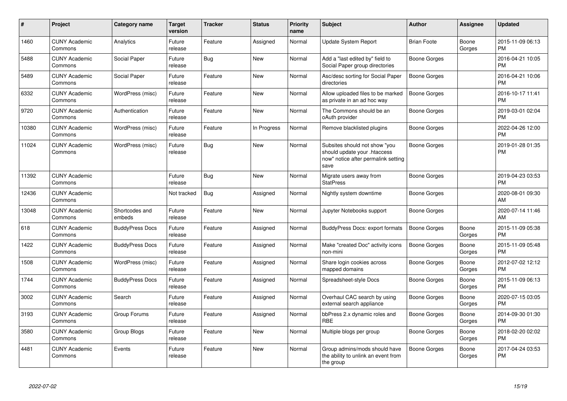| $\#$  | Project                         | <b>Category name</b>     | <b>Target</b><br>version | <b>Tracker</b> | <b>Status</b> | <b>Priority</b><br>name | <b>Subject</b>                                                                                               | <b>Author</b>       | Assignee        | <b>Updated</b>                |
|-------|---------------------------------|--------------------------|--------------------------|----------------|---------------|-------------------------|--------------------------------------------------------------------------------------------------------------|---------------------|-----------------|-------------------------------|
| 1460  | <b>CUNY Academic</b><br>Commons | Analytics                | Future<br>release        | Feature        | Assigned      | Normal                  | <b>Update System Report</b>                                                                                  | <b>Brian Foote</b>  | Boone<br>Gorges | 2015-11-09 06:13<br><b>PM</b> |
| 5488  | <b>CUNY Academic</b><br>Commons | Social Paper             | Future<br>release        | Bug            | <b>New</b>    | Normal                  | Add a "last edited by" field to<br>Social Paper group directories                                            | Boone Gorges        |                 | 2016-04-21 10:05<br><b>PM</b> |
| 5489  | <b>CUNY Academic</b><br>Commons | Social Paper             | Future<br>release        | Feature        | New           | Normal                  | Asc/desc sorting for Social Paper<br>directories                                                             | Boone Gorges        |                 | 2016-04-21 10:06<br><b>PM</b> |
| 6332  | <b>CUNY Academic</b><br>Commons | WordPress (misc)         | Future<br>release        | Feature        | <b>New</b>    | Normal                  | Allow uploaded files to be marked<br>as private in an ad hoc way                                             | Boone Gorges        |                 | 2016-10-17 11:41<br><b>PM</b> |
| 9720  | <b>CUNY Academic</b><br>Commons | Authentication           | Future<br>release        | Feature        | <b>New</b>    | Normal                  | The Commons should be an<br>oAuth provider                                                                   | Boone Gorges        |                 | 2019-03-01 02:04<br><b>PM</b> |
| 10380 | <b>CUNY Academic</b><br>Commons | WordPress (misc)         | Future<br>release        | Feature        | In Progress   | Normal                  | Remove blacklisted plugins                                                                                   | Boone Gorges        |                 | 2022-04-26 12:00<br><b>PM</b> |
| 11024 | <b>CUNY Academic</b><br>Commons | WordPress (misc)         | Future<br>release        | Bug            | <b>New</b>    | Normal                  | Subsites should not show "you<br>should update your .htaccess<br>now" notice after permalink setting<br>save | Boone Gorges        |                 | 2019-01-28 01:35<br><b>PM</b> |
| 11392 | <b>CUNY Academic</b><br>Commons |                          | Future<br>release        | Bug            | New           | Normal                  | Migrate users away from<br><b>StatPress</b>                                                                  | Boone Gorges        |                 | 2019-04-23 03:53<br><b>PM</b> |
| 12436 | <b>CUNY Academic</b><br>Commons |                          | Not tracked              | Bug            | Assigned      | Normal                  | Nightly system downtime                                                                                      | <b>Boone Gorges</b> |                 | 2020-08-01 09:30<br>AM        |
| 13048 | <b>CUNY Academic</b><br>Commons | Shortcodes and<br>embeds | Future<br>release        | Feature        | <b>New</b>    | Normal                  | Jupyter Notebooks support                                                                                    | Boone Gorges        |                 | 2020-07-14 11:46<br>AM        |
| 618   | <b>CUNY Academic</b><br>Commons | <b>BuddyPress Docs</b>   | Future<br>release        | Feature        | Assigned      | Normal                  | BuddyPress Docs: export formats                                                                              | <b>Boone Gorges</b> | Boone<br>Gorges | 2015-11-09 05:38<br><b>PM</b> |
| 1422  | <b>CUNY Academic</b><br>Commons | <b>BuddyPress Docs</b>   | Future<br>release        | Feature        | Assigned      | Normal                  | Make "created Doc" activity icons<br>non-mini                                                                | Boone Gorges        | Boone<br>Gorges | 2015-11-09 05:48<br><b>PM</b> |
| 1508  | <b>CUNY Academic</b><br>Commons | WordPress (misc)         | Future<br>release        | Feature        | Assigned      | Normal                  | Share login cookies across<br>mapped domains                                                                 | Boone Gorges        | Boone<br>Gorges | 2012-07-02 12:12<br><b>PM</b> |
| 1744  | <b>CUNY Academic</b><br>Commons | <b>BuddyPress Docs</b>   | Future<br>release        | Feature        | Assigned      | Normal                  | Spreadsheet-style Docs                                                                                       | Boone Gorges        | Boone<br>Gorges | 2015-11-09 06:13<br><b>PM</b> |
| 3002  | <b>CUNY Academic</b><br>Commons | Search                   | Future<br>release        | Feature        | Assigned      | Normal                  | Overhaul CAC search by using<br>external search appliance                                                    | Boone Gorges        | Boone<br>Gorges | 2020-07-15 03:05<br><b>PM</b> |
| 3193  | <b>CUNY Academic</b><br>Commons | Group Forums             | Future<br>release        | Feature        | Assigned      | Normal                  | bbPress 2.x dynamic roles and<br><b>RBE</b>                                                                  | Boone Gorges        | Boone<br>Gorges | 2014-09-30 01:30<br><b>PM</b> |
| 3580  | <b>CUNY Academic</b><br>Commons | Group Blogs              | Future<br>release        | Feature        | <b>New</b>    | Normal                  | Multiple blogs per group                                                                                     | Boone Gorges        | Boone<br>Gorges | 2018-02-20 02:02<br><b>PM</b> |
| 4481  | <b>CUNY Academic</b><br>Commons | Events                   | Future<br>release        | Feature        | New           | Normal                  | Group admins/mods should have<br>the ability to unlink an event from<br>the group                            | Boone Gorges        | Boone<br>Gorges | 2017-04-24 03:53<br><b>PM</b> |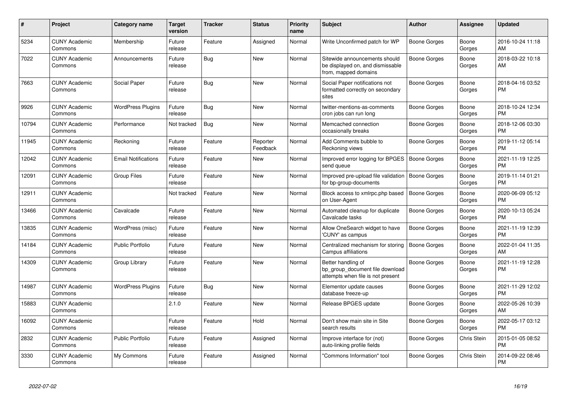| #     | <b>Project</b>                  | Category name              | <b>Target</b><br>version | <b>Tracker</b> | <b>Status</b>        | <b>Priority</b><br>name | <b>Subject</b>                                                                             | <b>Author</b>       | Assignee        | <b>Updated</b>                |
|-------|---------------------------------|----------------------------|--------------------------|----------------|----------------------|-------------------------|--------------------------------------------------------------------------------------------|---------------------|-----------------|-------------------------------|
| 5234  | <b>CUNY Academic</b><br>Commons | Membership                 | Future<br>release        | Feature        | Assigned             | Normal                  | Write Unconfirmed patch for WP                                                             | Boone Gorges        | Boone<br>Gorges | 2016-10-24 11:18<br>AM        |
| 7022  | <b>CUNY Academic</b><br>Commons | Announcements              | Future<br>release        | Bug            | <b>New</b>           | Normal                  | Sitewide announcements should<br>be displayed on, and dismissable<br>from, mapped domains  | Boone Gorges        | Boone<br>Gorges | 2018-03-22 10:18<br>AM        |
| 7663  | <b>CUNY Academic</b><br>Commons | Social Paper               | Future<br>release        | Bug            | New                  | Normal                  | Social Paper notifications not<br>formatted correctly on secondary<br>sites                | Boone Gorges        | Boone<br>Gorges | 2018-04-16 03:52<br><b>PM</b> |
| 9926  | <b>CUNY Academic</b><br>Commons | <b>WordPress Plugins</b>   | Future<br>release        | Bug            | <b>New</b>           | Normal                  | twitter-mentions-as-comments<br>cron jobs can run long                                     | Boone Gorges        | Boone<br>Gorges | 2018-10-24 12:34<br><b>PM</b> |
| 10794 | <b>CUNY Academic</b><br>Commons | Performance                | Not tracked              | Bug            | <b>New</b>           | Normal                  | Memcached connection<br>occasionally breaks                                                | Boone Gorges        | Boone<br>Gorges | 2018-12-06 03:30<br><b>PM</b> |
| 11945 | <b>CUNY Academic</b><br>Commons | Reckoning                  | Future<br>release        | Feature        | Reporter<br>Feedback | Normal                  | Add Comments bubble to<br>Reckoning views                                                  | Boone Gorges        | Boone<br>Gorges | 2019-11-12 05:14<br><b>PM</b> |
| 12042 | <b>CUNY Academic</b><br>Commons | <b>Email Notifications</b> | Future<br>release        | Feature        | <b>New</b>           | Normal                  | Improved error logging for BPGES<br>send queue                                             | <b>Boone Gorges</b> | Boone<br>Gorges | 2021-11-19 12:25<br><b>PM</b> |
| 12091 | <b>CUNY Academic</b><br>Commons | Group Files                | Future<br>release        | Feature        | <b>New</b>           | Normal                  | Improved pre-upload file validation<br>for bp-group-documents                              | Boone Gorges        | Boone<br>Gorges | 2019-11-14 01:21<br><b>PM</b> |
| 12911 | <b>CUNY Academic</b><br>Commons |                            | Not tracked              | Feature        | New                  | Normal                  | Block access to xmlrpc.php based<br>on User-Agent                                          | Boone Gorges        | Boone<br>Gorges | 2020-06-09 05:12<br><b>PM</b> |
| 13466 | <b>CUNY Academic</b><br>Commons | Cavalcade                  | Future<br>release        | Feature        | New                  | Normal                  | Automated cleanup for duplicate<br>Cavalcade tasks                                         | Boone Gorges        | Boone<br>Gorges | 2020-10-13 05:24<br><b>PM</b> |
| 13835 | <b>CUNY Academic</b><br>Commons | WordPress (misc)           | Future<br>release        | Feature        | New                  | Normal                  | Allow OneSearch widget to have<br>'CUNY' as campus                                         | Boone Gorges        | Boone<br>Gorges | 2021-11-19 12:39<br><b>PM</b> |
| 14184 | <b>CUNY Academic</b><br>Commons | Public Portfolio           | Future<br>release        | Feature        | <b>New</b>           | Normal                  | Centralized mechanism for storing<br>Campus affiliations                                   | <b>Boone Gorges</b> | Boone<br>Gorges | 2022-01-04 11:35<br>AM        |
| 14309 | <b>CUNY Academic</b><br>Commons | Group Library              | Future<br>release        | Feature        | <b>New</b>           | Normal                  | Better handling of<br>bp group document file download<br>attempts when file is not present | Boone Gorges        | Boone<br>Gorges | 2021-11-19 12:28<br><b>PM</b> |
| 14987 | <b>CUNY Academic</b><br>Commons | <b>WordPress Plugins</b>   | Future<br>release        | Bug            | New                  | Normal                  | Elementor update causes<br>database freeze-up                                              | Boone Gorges        | Boone<br>Gorges | 2021-11-29 12:02<br><b>PM</b> |
| 15883 | <b>CUNY Academic</b><br>Commons |                            | 2.1.0                    | Feature        | New                  | Normal                  | Release BPGES update                                                                       | Boone Gorges        | Boone<br>Gorges | 2022-05-26 10:39<br>AM        |
| 16092 | <b>CUNY Academic</b><br>Commons |                            | Future<br>release        | Feature        | Hold                 | Normal                  | Don't show main site in Site<br>search results                                             | Boone Gorges        | Boone<br>Gorges | 2022-05-17 03:12<br><b>PM</b> |
| 2832  | <b>CUNY Academic</b><br>Commons | <b>Public Portfolio</b>    | Future<br>release        | Feature        | Assigned             | Normal                  | Improve interface for (not)<br>auto-linking profile fields                                 | Boone Gorges        | Chris Stein     | 2015-01-05 08:52<br><b>PM</b> |
| 3330  | <b>CUNY Academic</b><br>Commons | My Commons                 | Future<br>release        | Feature        | Assigned             | Normal                  | "Commons Information" tool                                                                 | Boone Gorges        | Chris Stein     | 2014-09-22 08:46<br><b>PM</b> |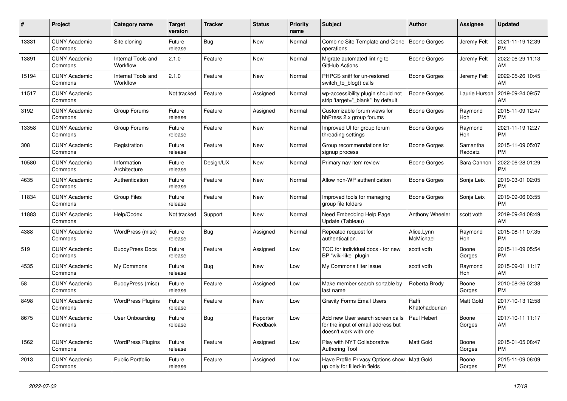| #     | Project                         | <b>Category name</b>           | <b>Target</b><br>version | <b>Tracker</b> | <b>Status</b>        | <b>Priority</b><br>name | <b>Subject</b>                                                                                  | <b>Author</b>           | <b>Assignee</b>     | <b>Updated</b>                |
|-------|---------------------------------|--------------------------------|--------------------------|----------------|----------------------|-------------------------|-------------------------------------------------------------------------------------------------|-------------------------|---------------------|-------------------------------|
| 13331 | <b>CUNY Academic</b><br>Commons | Site cloning                   | Future<br>release        | <b>Bug</b>     | <b>New</b>           | Normal                  | Combine Site Template and Clone   Boone Gorges<br>operations                                    |                         | Jeremy Felt         | 2021-11-19 12:39<br><b>PM</b> |
| 13891 | <b>CUNY Academic</b><br>Commons | Internal Tools and<br>Workflow | 2.1.0                    | Feature        | New                  | Normal                  | Migrate automated linting to<br>GitHub Actions                                                  | Boone Gorges            | Jeremy Felt         | 2022-06-29 11:13<br>AM        |
| 15194 | <b>CUNY Academic</b><br>Commons | Internal Tools and<br>Workflow | 2.1.0                    | Feature        | New                  | Normal                  | PHPCS sniff for un-restored<br>switch_to_blog() calls                                           | Boone Gorges            | Jeremy Felt         | 2022-05-26 10:45<br>AM        |
| 11517 | <b>CUNY Academic</b><br>Commons |                                | Not tracked              | Feature        | Assigned             | Normal                  | wp-accessibility plugin should not<br>strip 'target=" blank" by default                         | Boone Gorges            | Laurie Hurson       | 2019-09-24 09:57<br>AM        |
| 3192  | <b>CUNY Academic</b><br>Commons | Group Forums                   | Future<br>release        | Feature        | Assigned             | Normal                  | Customizable forum views for<br>bbPress 2.x group forums                                        | Boone Gorges            | Raymond<br>Hoh      | 2015-11-09 12:47<br><b>PM</b> |
| 13358 | <b>CUNY Academic</b><br>Commons | Group Forums                   | Future<br>release        | Feature        | New                  | Normal                  | Improved UI for group forum<br>threading settings                                               | <b>Boone Gorges</b>     | Raymond<br>Hoh      | 2021-11-19 12:27<br><b>PM</b> |
| 308   | <b>CUNY Academic</b><br>Commons | Registration                   | Future<br>release        | Feature        | <b>New</b>           | Normal                  | Group recommendations for<br>signup process                                                     | Boone Gorges            | Samantha<br>Raddatz | 2015-11-09 05:07<br><b>PM</b> |
| 10580 | <b>CUNY Academic</b><br>Commons | Information<br>Architecture    | Future<br>release        | Design/UX      | New                  | Normal                  | Primary nav item review                                                                         | Boone Gorges            | Sara Cannon         | 2022-06-28 01:29<br><b>PM</b> |
| 4635  | <b>CUNY Academic</b><br>Commons | Authentication                 | Future<br>release        | Feature        | <b>New</b>           | Normal                  | Allow non-WP authentication                                                                     | Boone Gorges            | Sonja Leix          | 2019-03-01 02:05<br><b>PM</b> |
| 11834 | <b>CUNY Academic</b><br>Commons | <b>Group Files</b>             | Future<br>release        | Feature        | <b>New</b>           | Normal                  | Improved tools for managing<br>group file folders                                               | Boone Gorges            | Sonja Leix          | 2019-09-06 03:55<br><b>PM</b> |
| 11883 | <b>CUNY Academic</b><br>Commons | Help/Codex                     | Not tracked              | Support        | New                  | Normal                  | Need Embedding Help Page<br>Update (Tableau)                                                    | Anthony Wheeler         | scott voth          | 2019-09-24 08:49<br>AM        |
| 4388  | <b>CUNY Academic</b><br>Commons | WordPress (misc)               | Future<br>release        | <b>Bug</b>     | Assigned             | Normal                  | Repeated request for<br>authentication.                                                         | Alice.Lynn<br>McMichael | Raymond<br>Hoh      | 2015-08-11 07:35<br><b>PM</b> |
| 519   | <b>CUNY Academic</b><br>Commons | <b>BuddyPress Docs</b>         | Future<br>release        | Feature        | Assigned             | Low                     | TOC for individual docs - for new<br>BP "wiki-like" plugin                                      | scott voth              | Boone<br>Gorges     | 2015-11-09 05:54<br><b>PM</b> |
| 4535  | <b>CUNY Academic</b><br>Commons | My Commons                     | Future<br>release        | <b>Bug</b>     | <b>New</b>           | Low                     | My Commons filter issue                                                                         | scott voth              | Raymond<br>Hoh      | 2015-09-01 11:17<br>AM        |
| 58    | <b>CUNY Academic</b><br>Commons | BuddyPress (misc)              | Future<br>release        | Feature        | Assigned             | Low                     | Make member search sortable by<br>last name                                                     | Roberta Brody           | Boone<br>Gorges     | 2010-08-26 02:38<br><b>PM</b> |
| 8498  | <b>CUNY Academic</b><br>Commons | <b>WordPress Plugins</b>       | Future<br>release        | Feature        | New                  | Low                     | <b>Gravity Forms Email Users</b>                                                                | Raffi<br>Khatchadourian | Matt Gold           | 2017-10-13 12:58<br><b>PM</b> |
| 8675  | <b>CUNY Academic</b><br>Commons | User Onboarding                | Future<br>release        | Bug            | Reporter<br>Feedback | Low                     | Add new User search screen calls<br>for the input of email address but<br>doesn't work with one | Paul Hebert             | Boone<br>Gorges     | 2017-10-11 11:17<br>AM        |
| 1562  | <b>CUNY Academic</b><br>Commons | <b>WordPress Plugins</b>       | Future<br>release        | Feature        | Assigned             | Low                     | Play with NYT Collaborative<br><b>Authoring Tool</b>                                            | Matt Gold               | Boone<br>Gorges     | 2015-01-05 08:47<br><b>PM</b> |
| 2013  | <b>CUNY Academic</b><br>Commons | <b>Public Portfolio</b>        | Future<br>release        | Feature        | Assigned             | Low                     | Have Profile Privacy Options show<br>up only for filled-in fields                               | <b>Matt Gold</b>        | Boone<br>Gorges     | 2015-11-09 06:09<br><b>PM</b> |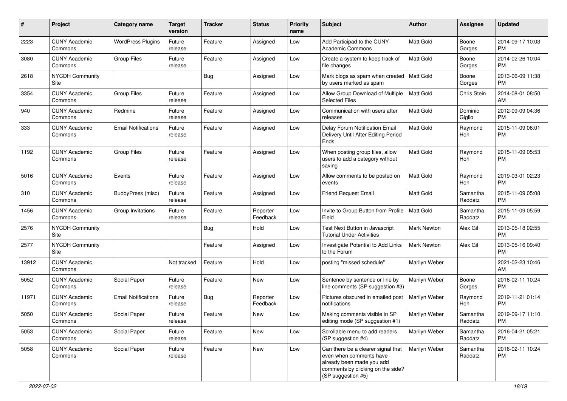| #     | Project                         | <b>Category name</b>       | <b>Target</b><br>version | <b>Tracker</b> | <b>Status</b>        | <b>Priority</b><br>name | Subject                                                                                                                                               | Author             | Assignee            | <b>Updated</b>                |
|-------|---------------------------------|----------------------------|--------------------------|----------------|----------------------|-------------------------|-------------------------------------------------------------------------------------------------------------------------------------------------------|--------------------|---------------------|-------------------------------|
| 2223  | <b>CUNY Academic</b><br>Commons | <b>WordPress Plugins</b>   | Future<br>release        | Feature        | Assigned             | Low                     | Add Participad to the CUNY<br><b>Academic Commons</b>                                                                                                 | <b>Matt Gold</b>   | Boone<br>Gorges     | 2014-09-17 10:03<br><b>PM</b> |
| 3080  | <b>CUNY Academic</b><br>Commons | <b>Group Files</b>         | Future<br>release        | Feature        | Assigned             | Low                     | Create a system to keep track of<br>file changes                                                                                                      | <b>Matt Gold</b>   | Boone<br>Gorges     | 2014-02-26 10:04<br><b>PM</b> |
| 2618  | <b>NYCDH Community</b><br>Site  |                            |                          | Bug            | Assigned             | Low                     | Mark blogs as spam when created<br>by users marked as spam                                                                                            | <b>Matt Gold</b>   | Boone<br>Gorges     | 2013-06-09 11:38<br><b>PM</b> |
| 3354  | <b>CUNY Academic</b><br>Commons | <b>Group Files</b>         | Future<br>release        | Feature        | Assigned             | Low                     | Allow Group Download of Multiple<br><b>Selected Files</b>                                                                                             | <b>Matt Gold</b>   | Chris Stein         | 2014-08-01 08:50<br>AM        |
| 940   | <b>CUNY Academic</b><br>Commons | Redmine                    | Future<br>release        | Feature        | Assigned             | Low                     | Communication with users after<br>releases                                                                                                            | <b>Matt Gold</b>   | Dominic<br>Giglio   | 2012-09-09 04:36<br><b>PM</b> |
| 333   | <b>CUNY Academic</b><br>Commons | <b>Email Notifications</b> | Future<br>release        | Feature        | Assigned             | Low                     | Delay Forum Notification Email<br>Delivery Until After Editing Period<br>Ends                                                                         | <b>Matt Gold</b>   | Raymond<br>Hoh      | 2015-11-09 06:01<br><b>PM</b> |
| 1192  | <b>CUNY Academic</b><br>Commons | <b>Group Files</b>         | Future<br>release        | Feature        | Assigned             | Low                     | When posting group files, allow<br>users to add a category without<br>saving                                                                          | <b>Matt Gold</b>   | Raymond<br>Hoh      | 2015-11-09 05:53<br><b>PM</b> |
| 5016  | <b>CUNY Academic</b><br>Commons | Events                     | Future<br>release        | Feature        | Assigned             | Low                     | Allow comments to be posted on<br>events                                                                                                              | Matt Gold          | Raymond<br>Hoh      | 2019-03-01 02:23<br><b>PM</b> |
| 310   | <b>CUNY Academic</b><br>Commons | BuddyPress (misc)          | Future<br>release        | Feature        | Assigned             | Low                     | <b>Friend Request Email</b>                                                                                                                           | <b>Matt Gold</b>   | Samantha<br>Raddatz | 2015-11-09 05:08<br><b>PM</b> |
| 1456  | <b>CUNY Academic</b><br>Commons | Group Invitations          | Future<br>release        | Feature        | Reporter<br>Feedback | Low                     | Invite to Group Button from Profile<br>Field                                                                                                          | Matt Gold          | Samantha<br>Raddatz | 2015-11-09 05:59<br><b>PM</b> |
| 2576  | <b>NYCDH Community</b><br>Site  |                            |                          | Bug            | Hold                 | Low                     | Test Next Button in Javascript<br><b>Tutorial Under Activities</b>                                                                                    | Mark Newton        | Alex Gil            | 2013-05-18 02:55<br><b>PM</b> |
| 2577  | <b>NYCDH Community</b><br>Site  |                            |                          | Feature        | Assigned             | Low                     | Investigate Potential to Add Links<br>to the Forum                                                                                                    | <b>Mark Newton</b> | Alex Gil            | 2013-05-16 09:40<br><b>PM</b> |
| 13912 | <b>CUNY Academic</b><br>Commons |                            | Not tracked              | Feature        | Hold                 | Low                     | posting "missed schedule"                                                                                                                             | Marilyn Weber      |                     | 2021-02-23 10:46<br>AM        |
| 5052  | <b>CUNY Academic</b><br>Commons | Social Paper               | Future<br>release        | Feature        | <b>New</b>           | Low                     | Sentence by sentence or line by<br>line comments (SP suggestion #3)                                                                                   | Marilyn Weber      | Boone<br>Gorges     | 2016-02-11 10:24<br><b>PM</b> |
| 11971 | <b>CUNY Academic</b><br>Commons | <b>Email Notifications</b> | Future<br>release        | Bug            | Reporter<br>Feedback | Low                     | Pictures obscured in emailed post<br>notifications                                                                                                    | Marilyn Weber      | Raymond<br>Hoh      | 2019-11-21 01:14<br><b>PM</b> |
| 5050  | <b>CUNY Academic</b><br>Commons | Social Paper               | Future<br>release        | Feature        | New                  | Low                     | Making comments visible in SP<br>editing mode (SP suggestion #1)                                                                                      | Marilyn Weber      | Samantha<br>Raddatz | 2019-09-17 11:10<br>PM        |
| 5053  | <b>CUNY Academic</b><br>Commons | Social Paper               | Future<br>release        | Feature        | New                  | Low                     | Scrollable menu to add readers<br>(SP suggestion #4)                                                                                                  | Marilyn Weber      | Samantha<br>Raddatz | 2016-04-21 05:21<br><b>PM</b> |
| 5058  | <b>CUNY Academic</b><br>Commons | Social Paper               | Future<br>release        | Feature        | New                  | Low                     | Can there be a clearer signal that<br>even when comments have<br>already been made you add<br>comments by clicking on the side?<br>(SP suggestion #5) | Marilyn Weber      | Samantha<br>Raddatz | 2016-02-11 10:24<br><b>PM</b> |